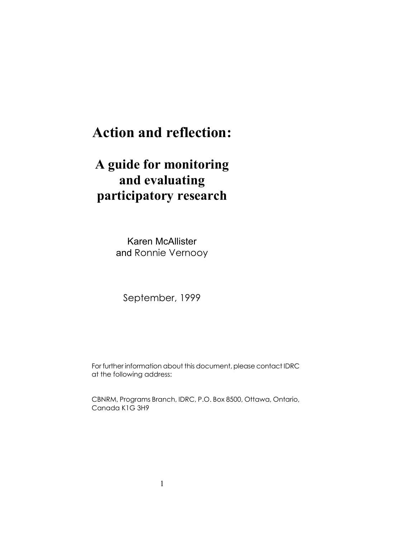# **Action and reflection:**

# **A guide for monitoring and evaluating participatory research**

Karen McAllister and Ronnie Vernooy

September, 1999

For further information about this document, please contact IDRC at the following address:

CBNRM, Programs Branch, IDRC, P.O. Box 8500, Ottawa, Ontario, Canada K1G 3H9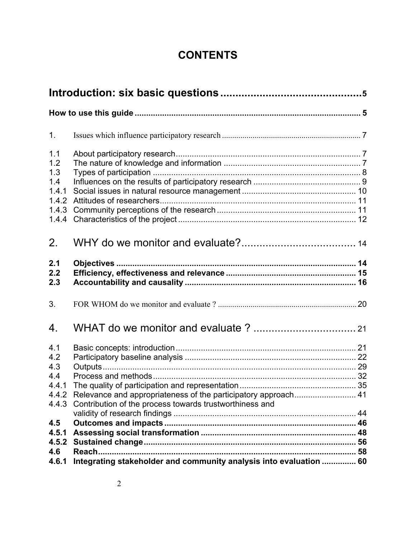## **CONTENTS**

| 1 <sub>1</sub>                                                                                                                                                                       |  |
|--------------------------------------------------------------------------------------------------------------------------------------------------------------------------------------|--|
| 1.1<br>1.2<br>1.3<br>1.4<br>1.4.1<br>1.4.2<br>1.4.3<br>1.4.4                                                                                                                         |  |
| 2.                                                                                                                                                                                   |  |
| 2.1<br>2.2<br>2.3                                                                                                                                                                    |  |
| 3.                                                                                                                                                                                   |  |
| 4.                                                                                                                                                                                   |  |
| 4.1<br>4.2<br>4.3<br>4.4<br>4.4.1<br>4.4.2 Relevance and appropriateness of the participatory approach 41<br>Contribution of the process towards trustworthiness and<br>4.4.3<br>4.5 |  |
| 4.5.1<br>4.5.2                                                                                                                                                                       |  |
| Reach<br>4.6<br>Integrating stakeholder and community analysis into evaluation  60<br>4.6.1                                                                                          |  |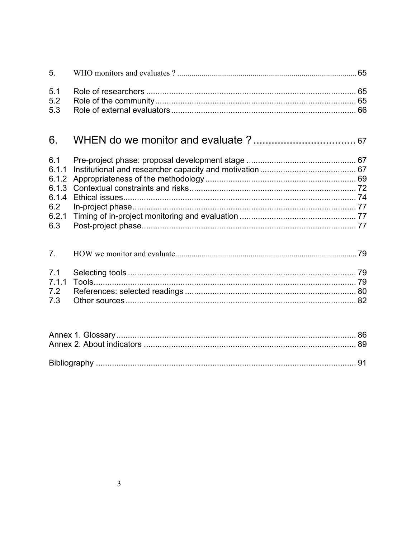#### 6.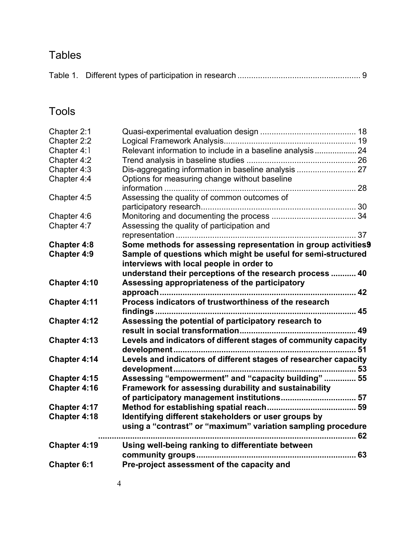## Tables

|--|--|--|--|

## Tools

| Chapter 2:1         |                                                                  |  |
|---------------------|------------------------------------------------------------------|--|
| Chapter 2:2         |                                                                  |  |
| Chapter 4:1         | Relevant information to include in a baseline analysis 24        |  |
| Chapter 4:2         |                                                                  |  |
| Chapter 4:3         |                                                                  |  |
| Chapter 4:4         | Options for measuring change without baseline                    |  |
|                     |                                                                  |  |
| Chapter 4:5         | Assessing the quality of common outcomes of                      |  |
|                     |                                                                  |  |
| Chapter 4:6         |                                                                  |  |
| Chapter 4:7         | Assessing the quality of participation and                       |  |
|                     |                                                                  |  |
| <b>Chapter 4:8</b>  | Some methods for assessing representation in group activities9   |  |
| <b>Chapter 4:9</b>  | Sample of questions which might be useful for semi-structured    |  |
|                     | interviews with local people in order to                         |  |
|                     | understand their perceptions of the research process  40         |  |
| Chapter 4:10        | Assessing appropriateness of the participatory                   |  |
|                     |                                                                  |  |
| <b>Chapter 4:11</b> | Process indicators of trustworthiness of the research            |  |
|                     |                                                                  |  |
| <b>Chapter 4:12</b> | Assessing the potential of participatory research to             |  |
|                     |                                                                  |  |
| Chapter 4:13        | Levels and indicators of different stages of community capacity  |  |
|                     |                                                                  |  |
| Chapter 4:14        | Levels and indicators of different stages of researcher capacity |  |
|                     |                                                                  |  |
| Chapter 4:15        | Assessing "empowerment" and "capacity building"  55              |  |
| <b>Chapter 4:16</b> | Framework for assessing durability and sustainability            |  |
|                     | of participatory management institutions 57                      |  |
| Chapter 4:17        |                                                                  |  |
| <b>Chapter 4:18</b> | Identifying different stakeholders or user groups by             |  |
|                     | using a "contrast" or "maximum" variation sampling procedure     |  |
|                     |                                                                  |  |
| Chapter 4:19        | Using well-being ranking to differentiate between                |  |
|                     |                                                                  |  |
| <b>Chapter 6:1</b>  | Pre-project assessment of the capacity and                       |  |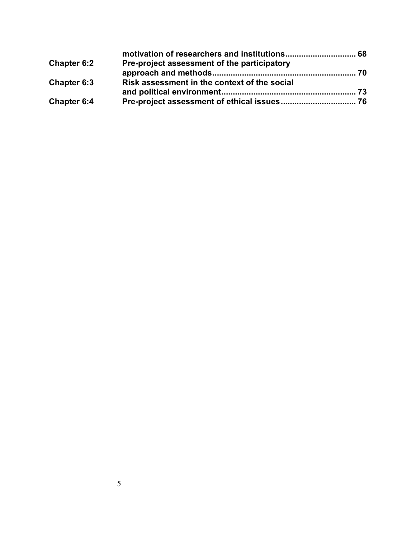| <b>Chapter 6:2</b> | Pre-project assessment of the participatory  |  |
|--------------------|----------------------------------------------|--|
|                    |                                              |  |
| Chapter 6:3        | Risk assessment in the context of the social |  |
|                    |                                              |  |
| Chapter 6:4        |                                              |  |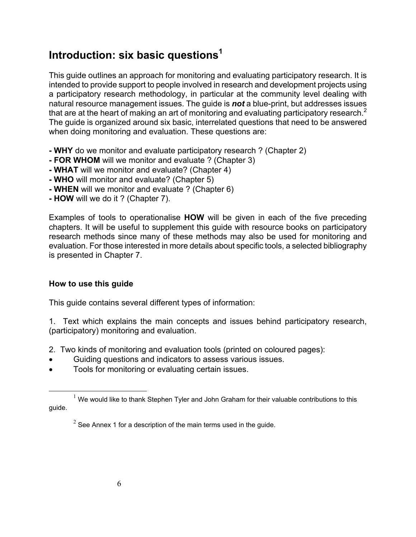## **Introduction: six basic questions<sup>1</sup>**

This guide outlines an approach for monitoring and evaluating participatory research. It is intended to provide support to people involved in research and development projects using a participatory research methodology, in particular at the community level dealing with natural resource management issues. The guide is *not* a blue-print, but addresses issues that are at the heart of making an art of monitoring and evaluating participatory research.<sup>2</sup> The guide is organized around six basic, interrelated questions that need to be answered when doing monitoring and evaluation. These questions are:

- **WHY** do we monitor and evaluate participatory research ? (Chapter 2)
- **FOR WHOM** will we monitor and evaluate ? (Chapter 3)
- **WHAT** will we monitor and evaluate? (Chapter 4)
- **WHO** will monitor and evaluate? (Chapter 5)
- **WHEN** will we monitor and evaluate ? (Chapter 6)
- **HOW** will we do it ? (Chapter 7).

Examples of tools to operationalise **HOW** will be given in each of the five preceding chapters. It will be useful to supplement this guide with resource books on participatory research methods since many of these methods may also be used for monitoring and evaluation. For those interested in more details about specific tools, a selected bibliography is presented in Chapter 7.

### **How to use this guide**

This guide contains several different types of information:

1. Text which explains the main concepts and issues behind participatory research, (participatory) monitoring and evaluation.

- 2. Two kinds of monitoring and evaluation tools (printed on coloured pages):
- Guiding questions and indicators to assess various issues.
- Tools for monitoring or evaluating certain issues.

<sup>&</sup>lt;u>1</u>  $1$  We would like to thank Stephen Tyler and John Graham for their valuable contributions to this guide.

 $2^{2}$  See Annex 1 for a description of the main terms used in the guide.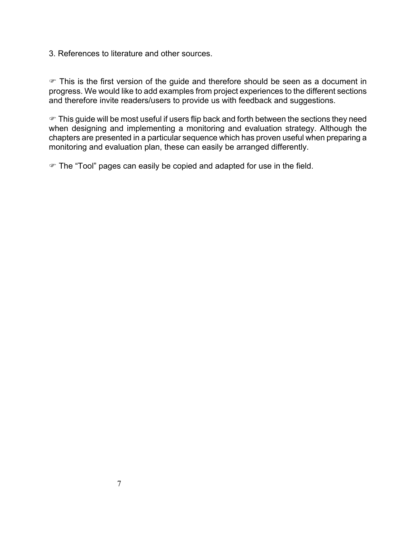3. References to literature and other sources.

 $\mathcal F$  This is the first version of the guide and therefore should be seen as a document in progress. We would like to add examples from project experiences to the different sections and therefore invite readers/users to provide us with feedback and suggestions.

 $\mathcal F$  This guide will be most useful if users flip back and forth between the sections they need when designing and implementing a monitoring and evaluation strategy. Although the chapters are presented in a particular sequence which has proven useful when preparing a monitoring and evaluation plan, these can easily be arranged differently.

• The "Tool" pages can easily be copied and adapted for use in the field.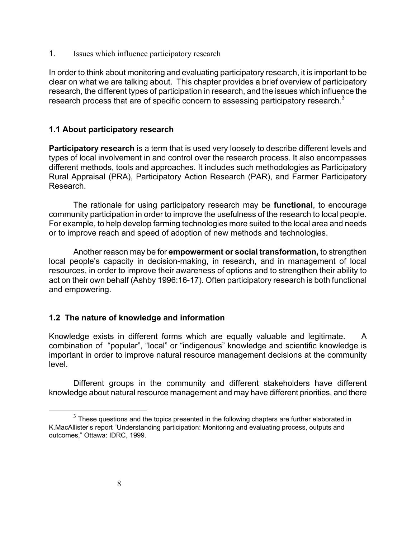1. Issues which influence participatory research

In order to think about monitoring and evaluating participatory research, it is important to be clear on what we are talking about. This chapter provides a brief overview of participatory research, the different types of participation in research, and the issues which influence the research process that are of specific concern to assessing participatory research.<sup>3</sup>

### **1.1 About participatory research**

**Participatory research** is a term that is used very loosely to describe different levels and types of local involvement in and control over the research process. It also encompasses different methods, tools and approaches. It includes such methodologies as Participatory Rural Appraisal (PRA), Participatory Action Research (PAR), and Farmer Participatory Research.

The rationale for using participatory research may be **functional**, to encourage community participation in order to improve the usefulness of the research to local people. For example, to help develop farming technologies more suited to the local area and needs or to improve reach and speed of adoption of new methods and technologies.

Another reason may be for **empowerment or social transformation,** to strengthen local people's capacity in decision-making, in research, and in management of local resources, in order to improve their awareness of options and to strengthen their ability to act on their own behalf (Ashby 1996:16-17). Often participatory research is both functional and empowering.

### **1.2 The nature of knowledge and information**

Knowledge exists in different forms which are equally valuable and legitimate. A combination of "popular", "local" or "indigenous" knowledge and scientific knowledge is important in order to improve natural resource management decisions at the community level.

Different groups in the community and different stakeholders have different knowledge about natural resource management and may have different priorities, and there

 $3$  These questions and the topics presented in the following chapters are further elaborated in K.MacAllister's report "Understanding participation: Monitoring and evaluating process, outputs and outcomes," Ottawa: IDRC, 1999.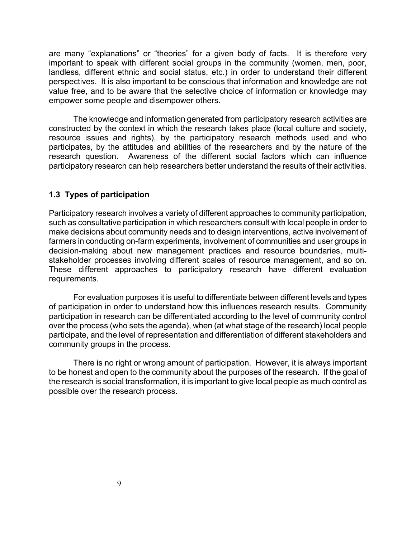are many "explanations" or "theories" for a given body of facts. It is therefore very important to speak with different social groups in the community (women, men, poor, landless, different ethnic and social status, etc.) in order to understand their different perspectives. It is also important to be conscious that information and knowledge are not value free, and to be aware that the selective choice of information or knowledge may empower some people and disempower others.

The knowledge and information generated from participatory research activities are constructed by the context in which the research takes place (local culture and society, resource issues and rights), by the participatory research methods used and who participates, by the attitudes and abilities of the researchers and by the nature of the research question. Awareness of the different social factors which can influence participatory research can help researchers better understand the results of their activities.

### **1.3 Types of participation**

Participatory research involves a variety of different approaches to community participation, such as consultative participation in which researchers consult with local people in order to make decisions about community needs and to design interventions, active involvement of farmers in conducting on-farm experiments, involvement of communities and user groups in decision-making about new management practices and resource boundaries, multistakeholder processes involving different scales of resource management, and so on. These different approaches to participatory research have different evaluation requirements.

For evaluation purposes it is useful to differentiate between different levels and types of participation in order to understand how this influences research results. Community participation in research can be differentiated according to the level of community control over the process (who sets the agenda), when (at what stage of the research) local people participate, and the level of representation and differentiation of different stakeholders and community groups in the process.

There is no right or wrong amount of participation. However, it is always important to be honest and open to the community about the purposes of the research. If the goal of the research is social transformation, it is important to give local people as much control as possible over the research process.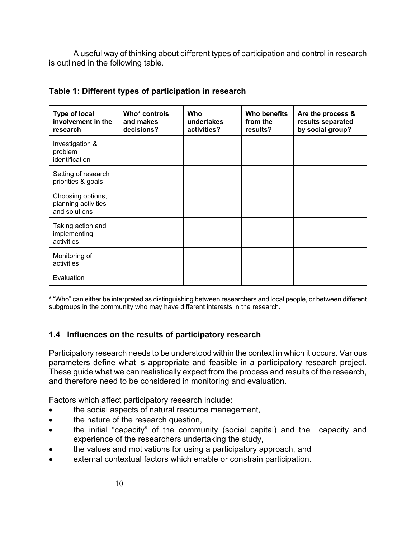A useful way of thinking about different types of participation and control in research is outlined in the following table.

| <b>Type of local</b><br>involvement in the<br>research    | Who* controls<br>and makes<br>decisions? | Who<br>undertakes<br>activities? | <b>Who benefits</b><br>from the<br>results? | Are the process &<br>results separated<br>by social group? |
|-----------------------------------------------------------|------------------------------------------|----------------------------------|---------------------------------------------|------------------------------------------------------------|
| Investigation &<br>problem<br>identification              |                                          |                                  |                                             |                                                            |
| Setting of research<br>priorities & goals                 |                                          |                                  |                                             |                                                            |
| Choosing options,<br>planning activities<br>and solutions |                                          |                                  |                                             |                                                            |
| Taking action and<br>implementing<br>activities           |                                          |                                  |                                             |                                                            |
| Monitoring of<br>activities                               |                                          |                                  |                                             |                                                            |
| Evaluation                                                |                                          |                                  |                                             |                                                            |

### **Table 1: Different types of participation in research**

\* "Who" can either be interpreted as distinguishing between researchers and local people, or between different subgroups in the community who may have different interests in the research.

### **1.4 Influences on the results of participatory research**

Participatory research needs to be understood within the context in which it occurs. Various parameters define what is appropriate and feasible in a participatory research project. These guide what we can realistically expect from the process and results of the research, and therefore need to be considered in monitoring and evaluation.

Factors which affect participatory research include:

- the social aspects of natural resource management,
- the nature of the research question,
- the initial "capacity" of the community (social capital) and the capacity and experience of the researchers undertaking the study,
- the values and motivations for using a participatory approach, and
- external contextual factors which enable or constrain participation.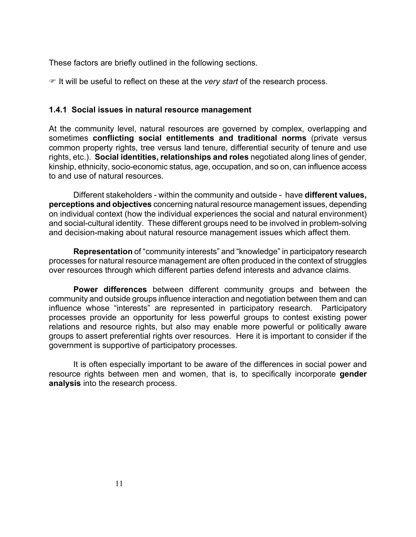These factors are briefly outlined in the following sections.

) It will be useful to reflect on these at the *very start* of the research process.

### **1.4.1 Social issues in natural resource management**

At the community level, natural resources are governed by complex, overlapping and sometimes **conflicting social entitlements and traditional norms** (private versus common property rights, tree versus land tenure, differential security of tenure and use rights, etc.). **Social identities, relationships and roles** negotiated along lines of gender, kinship, ethnicity, socio-economic status, age, occupation, and so on, can influence access to and use of natural resources.

Different stakeholders - within the community and outside - have **different values, perceptions and objectives** concerning natural resource management issues, depending on individual context (how the individual experiences the social and natural environment) and social-cultural identity. These different groups need to be involved in problem-solving and decision-making about natural resource management issues which affect them.

**Representation** of "community interests" and "knowledge" in participatory research processes for natural resource management are often produced in the context of struggles over resources through which different parties defend interests and advance claims.

**Power differences** between different community groups and between the community and outside groups influence interaction and negotiation between them and can influence whose "interests" are represented in participatory research. Participatory processes provide an opportunity for less powerful groups to contest existing power relations and resource rights, but also may enable more powerful or politically aware groups to assert preferential rights over resources. Here it is important to consider if the government is supportive of participatory processes.

It is often especially important to be aware of the differences in social power and resource rights between men and women, that is, to specifically incorporate **gender analysis** into the research process.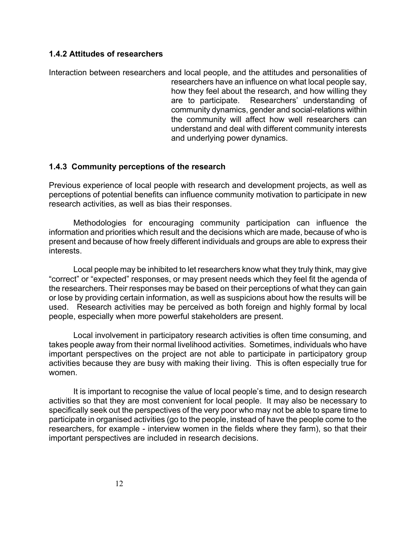### **1.4.2 Attitudes of researchers**

Interaction between researchers and local people, and the attitudes and personalities of researchers have an influence on what local people say, how they feel about the research, and how willing they are to participate. Researchers' understanding of community dynamics, gender and social-relations within the community will affect how well researchers can understand and deal with different community interests and underlying power dynamics.

### **1.4.3 Community perceptions of the research**

Previous experience of local people with research and development projects, as well as perceptions of potential benefits can influence community motivation to participate in new research activities, as well as bias their responses.

Methodologies for encouraging community participation can influence the information and priorities which result and the decisions which are made, because of who is present and because of how freely different individuals and groups are able to express their interests.

Local people may be inhibited to let researchers know what they truly think, may give "correct" or "expected" responses, or may present needs which they feel fit the agenda of the researchers. Their responses may be based on their perceptions of what they can gain or lose by providing certain information, as well as suspicions about how the results will be used. Research activities may be perceived as both foreign and highly formal by local people, especially when more powerful stakeholders are present.

Local involvement in participatory research activities is often time consuming, and takes people away from their normal livelihood activities. Sometimes, individuals who have important perspectives on the project are not able to participate in participatory group activities because they are busy with making their living. This is often especially true for women.

It is important to recognise the value of local people's time, and to design research activities so that they are most convenient for local people. It may also be necessary to specifically seek out the perspectives of the very poor who may not be able to spare time to participate in organised activities (go to the people, instead of have the people come to the researchers, for example - interview women in the fields where they farm), so that their important perspectives are included in research decisions.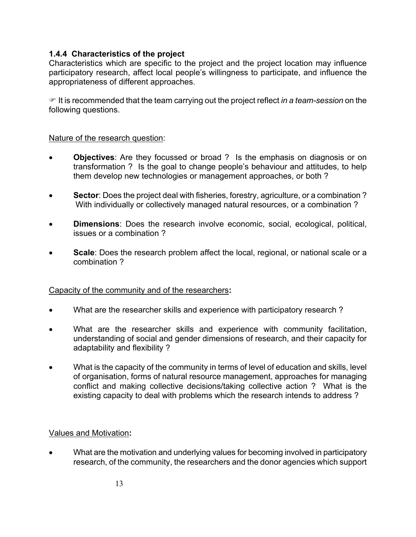### **1.4.4 Characteristics of the project**

Characteristics which are specific to the project and the project location may influence participatory research, affect local people's willingness to participate, and influence the appropriateness of different approaches.

) It is recommended that the team carrying out the project reflect *in a team-session* on the following questions.

### Nature of the research question:

- **Objectives**: Are they focussed or broad ? Is the emphasis on diagnosis or on transformation ? Is the goal to change people's behaviour and attitudes, to help them develop new technologies or management approaches, or both ?
- **Sector**: Does the project deal with fisheries, forestry, agriculture, or a combination ? With individually or collectively managed natural resources, or a combination ?
- **Dimensions**: Does the research involve economic, social, ecological, political, issues or a combination ?
- **Scale**: Does the research problem affect the local, regional, or national scale or a combination ?

### Capacity of the community and of the researchers**:**

- What are the researcher skills and experience with participatory research ?
- What are the researcher skills and experience with community facilitation, understanding of social and gender dimensions of research, and their capacity for adaptability and flexibility ?
- What is the capacity of the community in terms of level of education and skills, level of organisation, forms of natural resource management, approaches for managing conflict and making collective decisions/taking collective action ? What is the existing capacity to deal with problems which the research intends to address ?

### Values and Motivation**:**

• What are the motivation and underlying values for becoming involved in participatory research, of the community, the researchers and the donor agencies which support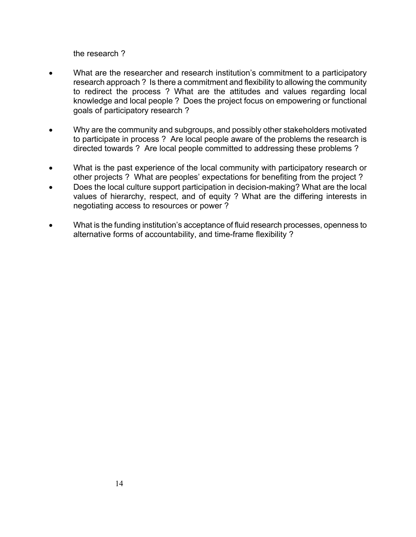the research ?

- What are the researcher and research institution's commitment to a participatory research approach ? Is there a commitment and flexibility to allowing the community to redirect the process ? What are the attitudes and values regarding local knowledge and local people ? Does the project focus on empowering or functional goals of participatory research ?
- Why are the community and subgroups, and possibly other stakeholders motivated to participate in process ? Are local people aware of the problems the research is directed towards ? Are local people committed to addressing these problems ?
- What is the past experience of the local community with participatory research or other projects ? What are peoples' expectations for benefiting from the project ?
- Does the local culture support participation in decision-making? What are the local values of hierarchy, respect, and of equity ? What are the differing interests in negotiating access to resources or power ?
- What is the funding institution's acceptance of fluid research processes, openness to alternative forms of accountability, and time-frame flexibility ?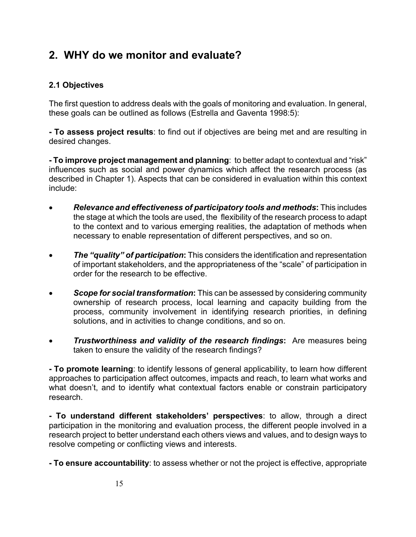## **2. WHY do we monitor and evaluate?**

### **2.1 Objectives**

The first question to address deals with the goals of monitoring and evaluation. In general, these goals can be outlined as follows (Estrella and Gaventa 1998:5):

**- To assess project results**: to find out if objectives are being met and are resulting in desired changes.

**- To improve project management and planning**: to better adapt to contextual and "risk" influences such as social and power dynamics which affect the research process (as described in Chapter 1). Aspects that can be considered in evaluation within this context include:

- *Relevance and effectiveness of participatory tools and methods***:** This includes the stage at which the tools are used, the flexibility of the research process to adapt to the context and to various emerging realities, the adaptation of methods when necessary to enable representation of different perspectives, and so on.
- *The "quality" of participation***:** This considers the identification and representation of important stakeholders, and the appropriateness of the "scale" of participation in order for the research to be effective.
- *Scope for social transformation***:** This can be assessed by considering community ownership of research process, local learning and capacity building from the process, community involvement in identifying research priorities, in defining solutions, and in activities to change conditions, and so on.
- *Trustworthiness and validity of the research findings***:** Are measures being taken to ensure the validity of the research findings?

**- To promote learning**: to identify lessons of general applicability, to learn how different approaches to participation affect outcomes, impacts and reach, to learn what works and what doesn't, and to identify what contextual factors enable or constrain participatory research.

**- To understand different stakeholders' perspectives**: to allow, through a direct participation in the monitoring and evaluation process, the different people involved in a research project to better understand each others views and values, and to design ways to resolve competing or conflicting views and interests.

**- To ensure accountability**: to assess whether or not the project is effective, appropriate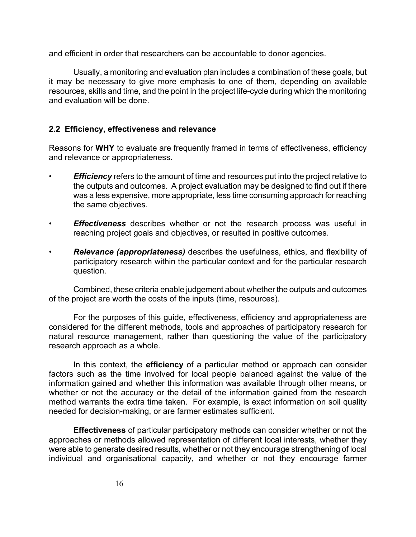and efficient in order that researchers can be accountable to donor agencies.

Usually, a monitoring and evaluation plan includes a combination of these goals, but it may be necessary to give more emphasis to one of them, depending on available resources, skills and time, and the point in the project life-cycle during which the monitoring and evaluation will be done.

### **2.2 Efficiency, effectiveness and relevance**

Reasons for **WHY** to evaluate are frequently framed in terms of effectiveness, efficiency and relevance or appropriateness.

- *Efficiency* refers to the amount of time and resources put into the project relative to the outputs and outcomes. A project evaluation may be designed to find out if there was a less expensive, more appropriate, less time consuming approach for reaching the same objectives.
- *Effectiveness* describes whether or not the research process was useful in reaching project goals and objectives, or resulted in positive outcomes.
- *Relevance (appropriateness)* describes the usefulness, ethics, and flexibility of participatory research within the particular context and for the particular research question.

Combined, these criteria enable judgement about whether the outputs and outcomes of the project are worth the costs of the inputs (time, resources).

For the purposes of this guide, effectiveness, efficiency and appropriateness are considered for the different methods, tools and approaches of participatory research for natural resource management, rather than questioning the value of the participatory research approach as a whole.

In this context, the **efficiency** of a particular method or approach can consider factors such as the time involved for local people balanced against the value of the information gained and whether this information was available through other means, or whether or not the accuracy or the detail of the information gained from the research method warrants the extra time taken. For example, is exact information on soil quality needed for decision-making, or are farmer estimates sufficient.

**Effectiveness** of particular participatory methods can consider whether or not the approaches or methods allowed representation of different local interests, whether they were able to generate desired results, whether or not they encourage strengthening of local individual and organisational capacity, and whether or not they encourage farmer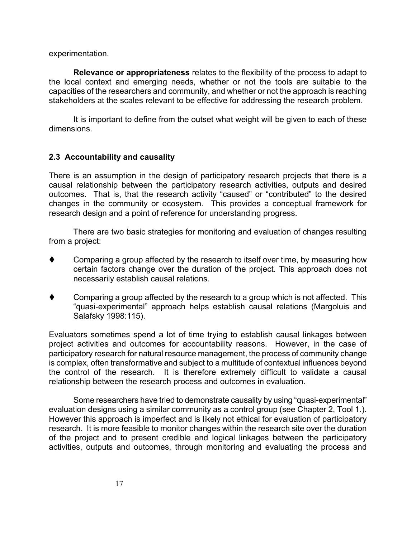experimentation.

**Relevance or appropriateness** relates to the flexibility of the process to adapt to the local context and emerging needs, whether or not the tools are suitable to the capacities of the researchers and community, and whether or not the approach is reaching stakeholders at the scales relevant to be effective for addressing the research problem.

It is important to define from the outset what weight will be given to each of these dimensions.

### **2.3 Accountability and causality**

There is an assumption in the design of participatory research projects that there is a causal relationship between the participatory research activities, outputs and desired outcomes. That is, that the research activity "caused" or "contributed" to the desired changes in the community or ecosystem. This provides a conceptual framework for research design and a point of reference for understanding progress.

There are two basic strategies for monitoring and evaluation of changes resulting from a project:

- Comparing a group affected by the research to itself over time, by measuring how certain factors change over the duration of the project. This approach does not necessarily establish causal relations.
- Comparing a group affected by the research to a group which is not affected. This "quasi-experimental" approach helps establish causal relations (Margoluis and Salafsky 1998:115).

Evaluators sometimes spend a lot of time trying to establish causal linkages between project activities and outcomes for accountability reasons. However, in the case of participatory research for natural resource management, the process of community change is complex, often transformative and subject to a multitude of contextual influences beyond the control of the research. It is therefore extremely difficult to validate a causal relationship between the research process and outcomes in evaluation.

Some researchers have tried to demonstrate causality by using "quasi-experimental" evaluation designs using a similar community as a control group (see Chapter 2, Tool 1.). However this approach is imperfect and is likely not ethical for evaluation of participatory research. It is more feasible to monitor changes within the research site over the duration of the project and to present credible and logical linkages between the participatory activities, outputs and outcomes, through monitoring and evaluating the process and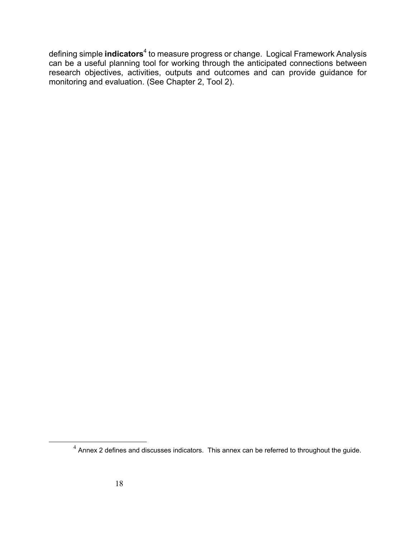defining simple **indicators**<sup>4</sup> to measure progress or change. Logical Framework Analysis can be a useful planning tool for working through the anticipated connections between research objectives, activities, outputs and outcomes and can provide guidance for monitoring and evaluation. (See Chapter 2, Tool 2).

 $4$  Annex 2 defines and discusses indicators. This annex can be referred to throughout the guide.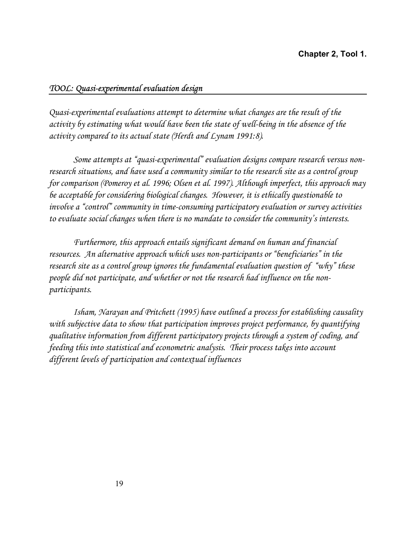### *TOOL: Quasi-experimental evaluation design*

*Quasi-experimental evaluations attempt to determine what changes are the result of the activity by estimating what would have been the state of well-being in the absence of the activity compared to its actual state (Herdt and Lynam 1991:8).* 

*Some attempts at "quasi-experimental" evaluation designs compare research versus nonresearch situations, and have used a community similar to the research site as a control group for comparison (Pomeroy et al. 1996; Olsen et al. 1997). Although imperfect, this approach may be acceptable for considering biological changes. However, it is ethically questionable to involve a "control" community in time-consuming participatory evaluation or survey activities to evaluate social changes when there is no mandate to consider the community's interests.* 

*Furthermore, this approach entails significant demand on human and financial resources. An alternative approach which uses non-participants or "beneficiaries" in the research site as a control group ignores the fundamental evaluation question of "why" these people did not participate, and whether or not the research had influence on the nonparticipants.* 

*Isham, Narayan and Pritchett (1995) have outlined a process for establishing causality with subjective data to show that participation improves project performance, by quantifying qualitative information from different participatory projects through a system of coding, and feeding this into statistical and econometric analysis. Their process takes into account different levels of participation and contextual influences*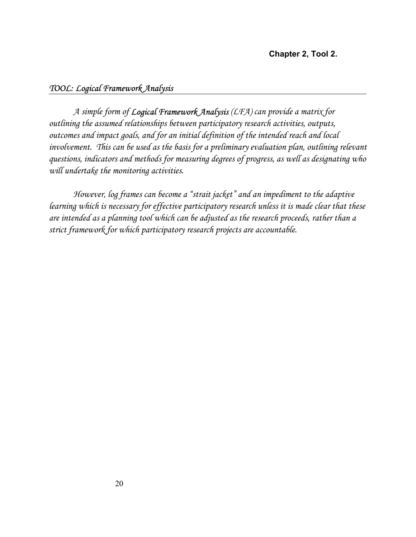### *TOOL: Logical Framework Analysis*

*A simple form of Logical Framework Analysis (LFA) can provide a matrix for outlining the assumed relationships between participatory research activities, outputs, outcomes and impact goals, and for an initial definition of the intended reach and local*  involvement. This can be used as the basis for a preliminary evaluation plan, outlining relevant *questions, indicators and methods for measuring degrees of progress, as well as designating who will undertake the monitoring activities.* 

*However, log frames can become a "strait jacket" and an impediment to the adaptive learning which is necessary for effective participatory research unless it is made clear that these are intended as a planning tool which can be adjusted as the research proceeds, rather than a strict framework for which participatory research projects are accountable.*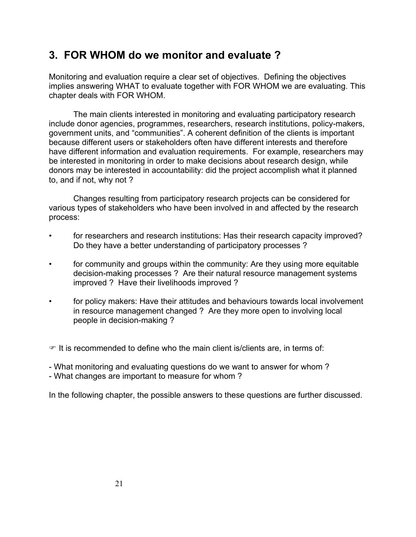### **3. FOR WHOM do we monitor and evaluate ?**

Monitoring and evaluation require a clear set of objectives. Defining the objectives implies answering WHAT to evaluate together with FOR WHOM we are evaluating. This chapter deals with FOR WHOM.

The main clients interested in monitoring and evaluating participatory research include donor agencies, programmes, researchers, research institutions, policy-makers, government units, and "communities". A coherent definition of the clients is important because different users or stakeholders often have different interests and therefore have different information and evaluation requirements. For example, researchers may be interested in monitoring in order to make decisions about research design, while donors may be interested in accountability: did the project accomplish what it planned to, and if not, why not ?

Changes resulting from participatory research projects can be considered for various types of stakeholders who have been involved in and affected by the research process:

- for researchers and research institutions: Has their research capacity improved? Do they have a better understanding of participatory processes ?
- for community and groups within the community: Are they using more equitable decision-making processes ? Are their natural resource management systems improved ? Have their livelihoods improved ?
- for policy makers: Have their attitudes and behaviours towards local involvement in resource management changed ? Are they more open to involving local people in decision-making ?

 $\mathcal{F}$  It is recommended to define who the main client is/clients are, in terms of:

- What monitoring and evaluating questions do we want to answer for whom ?

- What changes are important to measure for whom ?

In the following chapter, the possible answers to these questions are further discussed.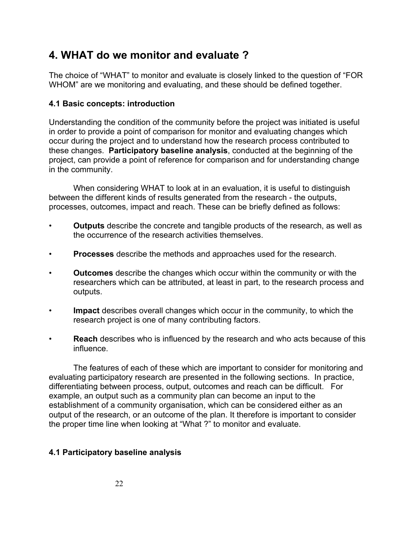### **4. WHAT do we monitor and evaluate ?**

The choice of "WHAT" to monitor and evaluate is closely linked to the question of "FOR WHOM" are we monitoring and evaluating, and these should be defined together.

### **4.1 Basic concepts: introduction**

Understanding the condition of the community before the project was initiated is useful in order to provide a point of comparison for monitor and evaluating changes which occur during the project and to understand how the research process contributed to these changes. **Participatory baseline analysis**, conducted at the beginning of the project, can provide a point of reference for comparison and for understanding change in the community.

When considering WHAT to look at in an evaluation, it is useful to distinguish between the different kinds of results generated from the research - the outputs, processes, outcomes, impact and reach. These can be briefly defined as follows:

- **Outputs** describe the concrete and tangible products of the research, as well as the occurrence of the research activities themselves.
- **Processes** describe the methods and approaches used for the research.
- **Outcomes** describe the changes which occur within the community or with the researchers which can be attributed, at least in part, to the research process and outputs.
- **Impact** describes overall changes which occur in the community, to which the research project is one of many contributing factors.
- **Reach** describes who is influenced by the research and who acts because of this influence.

The features of each of these which are important to consider for monitoring and evaluating participatory research are presented in the following sections. In practice, differentiating between process, output, outcomes and reach can be difficult. For example, an output such as a community plan can become an input to the establishment of a community organisation, which can be considered either as an output of the research, or an outcome of the plan. It therefore is important to consider the proper time line when looking at "What ?" to monitor and evaluate.

### **4.1 Participatory baseline analysis**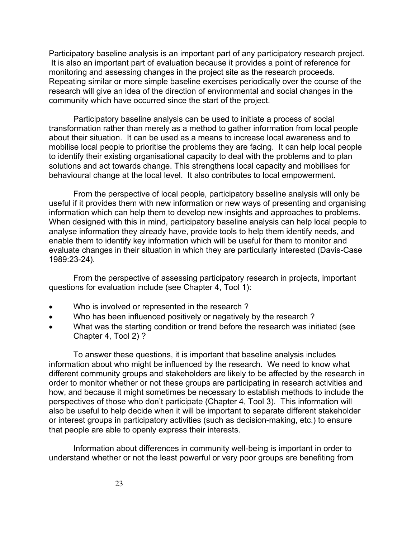Participatory baseline analysis is an important part of any participatory research project. It is also an important part of evaluation because it provides a point of reference for monitoring and assessing changes in the project site as the research proceeds. Repeating similar or more simple baseline exercises periodically over the course of the research will give an idea of the direction of environmental and social changes in the community which have occurred since the start of the project.

Participatory baseline analysis can be used to initiate a process of social transformation rather than merely as a method to gather information from local people about their situation. It can be used as a means to increase local awareness and to mobilise local people to prioritise the problems they are facing. It can help local people to identify their existing organisational capacity to deal with the problems and to plan solutions and act towards change. This strengthens local capacity and mobilises for behavioural change at the local level. It also contributes to local empowerment.

From the perspective of local people, participatory baseline analysis will only be useful if it provides them with new information or new ways of presenting and organising information which can help them to develop new insights and approaches to problems. When designed with this in mind, participatory baseline analysis can help local people to analyse information they already have, provide tools to help them identify needs, and enable them to identify key information which will be useful for them to monitor and evaluate changes in their situation in which they are particularly interested (Davis-Case 1989:23-24)*.* 

From the perspective of assessing participatory research in projects, important questions for evaluation include (see Chapter 4, Tool 1):

- Who is involved or represented in the research ?
- Who has been influenced positively or negatively by the research?
- What was the starting condition or trend before the research was initiated (see Chapter 4, Tool 2) ?

To answer these questions, it is important that baseline analysis includes information about who might be influenced by the research. We need to know what different community groups and stakeholders are likely to be affected by the research in order to monitor whether or not these groups are participating in research activities and how, and because it might sometimes be necessary to establish methods to include the perspectives of those who don't participate (Chapter 4, Tool 3). This information will also be useful to help decide when it will be important to separate different stakeholder or interest groups in participatory activities (such as decision-making, etc.) to ensure that people are able to openly express their interests.

Information about differences in community well-being is important in order to understand whether or not the least powerful or very poor groups are benefiting from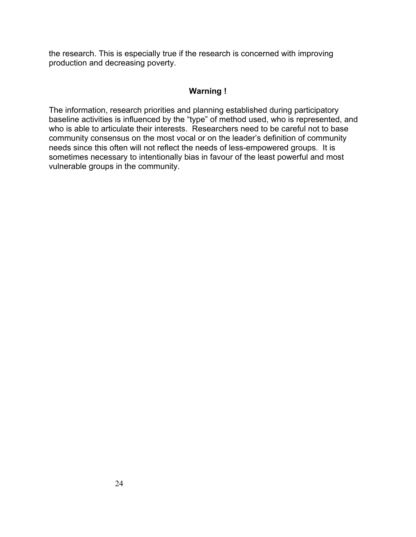the research. This is especially true if the research is concerned with improving production and decreasing poverty.

### **Warning !**

The information, research priorities and planning established during participatory baseline activities is influenced by the "type" of method used, who is represented, and who is able to articulate their interests. Researchers need to be careful not to base community consensus on the most vocal or on the leader's definition of community needs since this often will not reflect the needs of less-empowered groups. It is sometimes necessary to intentionally bias in favour of the least powerful and most vulnerable groups in the community.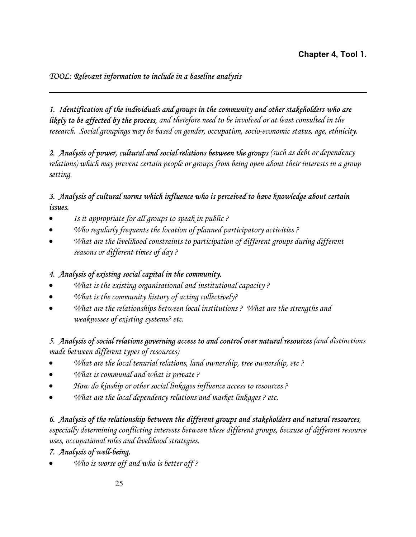### *TOOL: Relevant information to include in a baseline analysis*

*1. Identification of the individuals and groups in the community and other stakeholders who are likely to be affected by the process, and therefore need to be involved or at least consulted in the research. Social groupings may be based on gender, occupation, socio-economic status, age, ethnicity.* 

*2. Analysis of power, cultural and social relations between the groups (such as debt or dependency relations) which may prevent certain people or groups from being open about their interests in a group setting.* 

### *3. Analysis of cultural norms which influence who is perceived to have knowledge about certain issues.*

- *Is it appropriate for all groups to speak in public ?*
- *Who regularly frequents the location of planned participatory activities ?*
- *What are the livelihood constraints to participation of different groups during different seasons or different times of day ?*

### *4. Analysis of existing social capital in the community.*

- *What is the existing organisational and institutional capacity ?*
- *What is the community history of acting collectively?*
- *What are the relationships between local institutions ? What are the strengths and weaknesses of existing systems? etc.*

### *5. Analysis of social relations governing access to and control over natural resources (and distinctions*

*made between different types of resources)* 

- *What are the local tenurial relations, land ownership, tree ownership, etc ?*
- *What is communal and what is private ?*
- *How do kinship or other social linkages influence access to resources ?*
- *What are the local dependency relations and market linkages ? etc.*

### *6. Analysis of the relationship between the different groups and stakeholders and natural resources,*

*especially determining conflicting interests between these different groups, because of different resource uses, occupational roles and livelihood strategies.* 

### *7. Analysis of well-being.*

• *Who is worse off and who is better off ?*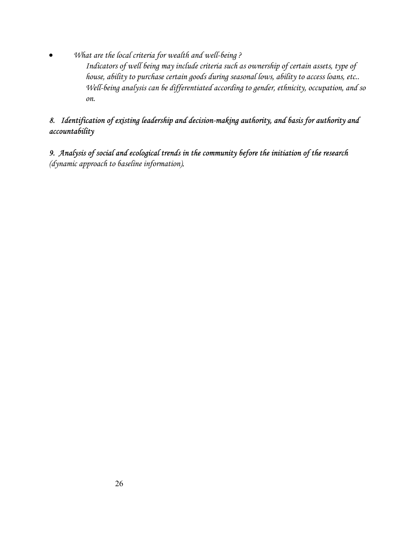• *What are the local criteria for wealth and well-being ? Indicators of well being may include criteria such as ownership of certain assets, type of house, ability to purchase certain goods during seasonal lows, ability to access loans, etc.. Well-being analysis can be differentiated according to gender, ethnicity, occupation, and so on.* 

### *8. Identification of existing leadership and decision-making authority, and basis for authority and accountability*

*9. Analysis of social and ecological trends in the community before the initiation of the research (dynamic approach to baseline information).*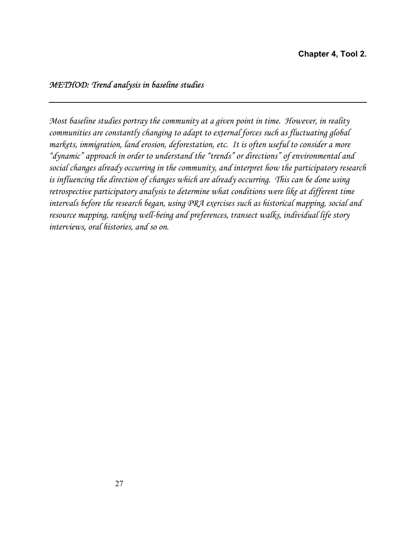### *METHOD: Trend analysis in baseline studies*

*Most baseline studies portray the community at a given point in time. However, in reality communities are constantly changing to adapt to external forces such as fluctuating global markets, immigration, land erosion, deforestation, etc. It is often useful to consider a more "dynamic" approach in order to understand the "trends" or directions" of environmental and social changes already occurring in the community, and interpret how the participatory research is influencing the direction of changes which are already occurring. This can be done using retrospective participatory analysis to determine what conditions were like at different time intervals before the research began, using PRA exercises such as historical mapping, social and resource mapping, ranking well-being and preferences, transect walks, individual life story interviews, oral histories, and so on.*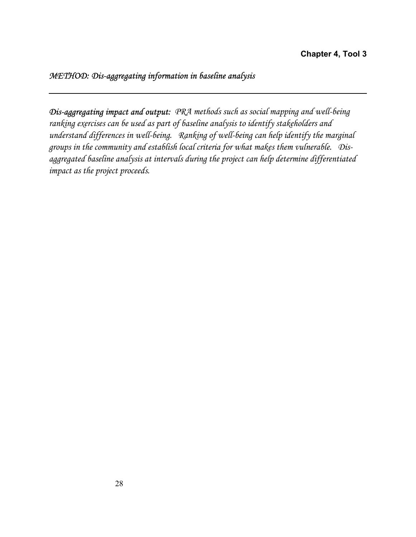### *METHOD: Dis-aggregating information in baseline analysis*

*Dis-aggregating impact and output: PRA methods such as social mapping and well-being ranking exercises can be used as part of baseline analysis to identify stakeholders and understand differences in well-being. Ranking of well-being can help identify the marginal groups in the community and establish local criteria for what makes them vulnerable. Disaggregated baseline analysis at intervals during the project can help determine differentiated impact as the project proceeds.*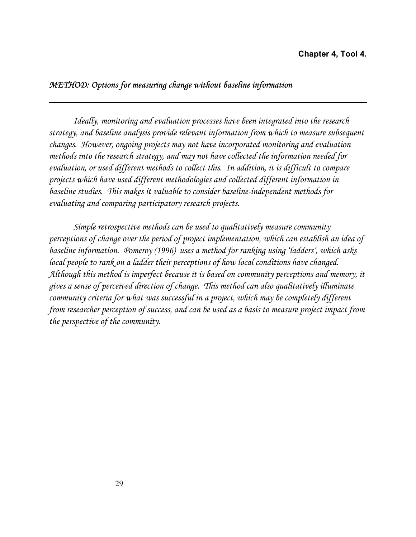### *METHOD: Options for measuring change without baseline information*

*Ideally, monitoring and evaluation processes have been integrated into the research strategy, and baseline analysis provide relevant information from which to measure subsequent changes. However, ongoing projects may not have incorporated monitoring and evaluation methods into the research strategy, and may not have collected the information needed for evaluation, or used different methods to collect this. In addition, it is difficult to compare projects which have used different methodologies and collected different information in baseline studies. This makes it valuable to consider baseline-independent methods for evaluating and comparing participatory research projects.* 

*Simple retrospective methods can be used to qualitatively measure community perceptions of change over the period of project implementation, which can establish an idea of baseline information. Pomeroy (1996) uses a method for ranking using 'ladders', which asks local people to rank on a ladder their perceptions of how local conditions have changed. Although this method is imperfect because it is based on community perceptions and memory, it gives a sense of perceived direction of change. This method can also qualitatively illuminate community criteria for what was successful in a project, which may be completely different from researcher perception of success, and can be used as a basis to measure project impact from the perspective of the community.*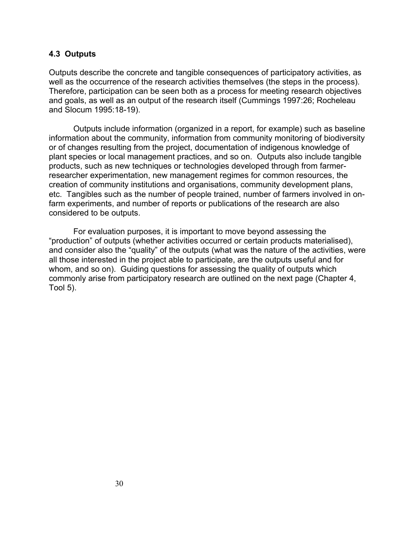### **4.3 Outputs**

Outputs describe the concrete and tangible consequences of participatory activities, as well as the occurrence of the research activities themselves (the steps in the process). Therefore, participation can be seen both as a process for meeting research objectives and goals, as well as an output of the research itself (Cummings 1997:26; Rocheleau and Slocum 1995:18-19).

Outputs include information (organized in a report, for example) such as baseline information about the community, information from community monitoring of biodiversity or of changes resulting from the project, documentation of indigenous knowledge of plant species or local management practices, and so on. Outputs also include tangible products, such as new techniques or technologies developed through from farmerresearcher experimentation, new management regimes for common resources, the creation of community institutions and organisations, community development plans, etc. Tangibles such as the number of people trained, number of farmers involved in onfarm experiments, and number of reports or publications of the research are also considered to be outputs.

For evaluation purposes, it is important to move beyond assessing the "production" of outputs (whether activities occurred or certain products materialised), and consider also the "quality" of the outputs (what was the nature of the activities, were all those interested in the project able to participate, are the outputs useful and for whom, and so on). Guiding questions for assessing the quality of outputs which commonly arise from participatory research are outlined on the next page (Chapter 4, Tool 5).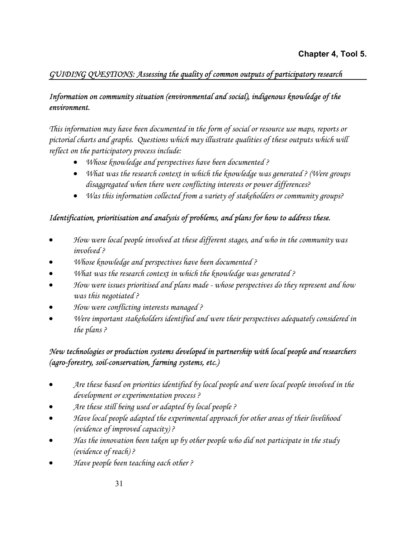### *GUIDING QUESTIONS: Assessing the quality of common outputs of participatory research*

### *Information on community situation (environmental and social), indigenous knowledge of the environment.*

*This information may have been documented in the form of social or resource use maps, reports or pictorial charts and graphs. Questions which may illustrate qualities of these outputs which will reflect on the participatory process include:* 

- *Whose knowledge and perspectives have been documented ?*
- *What was the research context in which the knowledge was generated ? (Were groups disaggregated when there were conflicting interests or power differences?*
- *Was this information collected from a variety of stakeholders or community groups?*

### *Identification, prioritisation and analysis of problems, and plans for how to address these.*

- *How were local people involved at these different stages, and who in the community was involved ?*
- *Whose knowledge and perspectives have been documented ?*
- *What was the research context in which the knowledge was generated ?*
- *How were issues prioritised and plans made whose perspectives do they represent and how was this negotiated ?*
- *How were conflicting interests managed ?*
- *Were important stakeholders identified and were their perspectives adequately considered in the plans ?*

### *New technologies or production systems developed in partnership with local people and researchers (agro-forestry, soil-conservation, farming systems, etc.)*

- *Are these based on priorities identified by local people and were local people involved in the development or experimentation process ?*
- *Are these still being used or adapted by local people ?*
- *Have local people adapted the experimental approach for other areas of their livelihood (evidence of improved capacity) ?*
- *Has the innovation been taken up by other people who did not participate in the study (evidence of reach) ?*
- *Have people been teaching each other ?*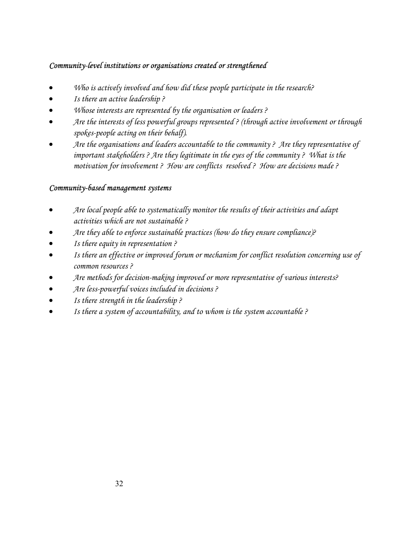### *Community-level institutions or organisations created or strengthened*

- *Who is actively involved and how did these people participate in the research?*
- *Is there an active leadership ?*
- *Whose interests are represented by the organisation or leaders ?*
- *Are the interests of less powerful groups represented ? (through active involvement or through spokes-people acting on their behalf).*
- *Are the organisations and leaders accountable to the community ? Are they representative of important stakeholders ? Are they legitimate in the eyes of the community ? What is the motivation for involvement ? How are conflicts resolved ? How are decisions made ?*

### *Community-based management systems*

- *Are local people able to systematically monitor the results of their activities and adapt activities which are not sustainable ?*
- *Are they able to enforce sustainable practices (how do they ensure compliance)?*
- *Is there equity in representation ?*
- *Is there an effective or improved forum or mechanism for conflict resolution concerning use of common resources ?*
- *Are methods for decision-making improved or more representative of various interests?*
- *Are less-powerful voices included in decisions ?*
- *Is there strength in the leadership ?*
- *Is there a system of accountability, and to whom is the system accountable ?*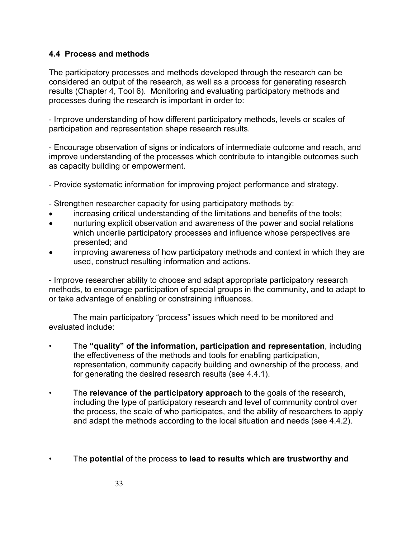### **4.4 Process and methods**

The participatory processes and methods developed through the research can be considered an output of the research, as well as a process for generating research results (Chapter 4, Tool 6). Monitoring and evaluating participatory methods and processes during the research is important in order to:

- Improve understanding of how different participatory methods, levels or scales of participation and representation shape research results.

- Encourage observation of signs or indicators of intermediate outcome and reach, and improve understanding of the processes which contribute to intangible outcomes such as capacity building or empowerment.

- Provide systematic information for improving project performance and strategy.

- Strengthen researcher capacity for using participatory methods by:
- increasing critical understanding of the limitations and benefits of the tools;
- nurturing explicit observation and awareness of the power and social relations which underlie participatory processes and influence whose perspectives are presented; and
- improving awareness of how participatory methods and context in which they are used, construct resulting information and actions.

- Improve researcher ability to choose and adapt appropriate participatory research methods, to encourage participation of special groups in the community, and to adapt to or take advantage of enabling or constraining influences.

The main participatory "process" issues which need to be monitored and evaluated include:

- The **"quality" of the information, participation and representation**, including the effectiveness of the methods and tools for enabling participation, representation, community capacity building and ownership of the process, and for generating the desired research results (see 4.4.1).
- The **relevance of the participatory approach** to the goals of the research, including the type of participatory research and level of community control over the process, the scale of who participates, and the ability of researchers to apply and adapt the methods according to the local situation and needs (see 4.4.2).
- The **potential** of the process **to lead to results which are trustworthy and**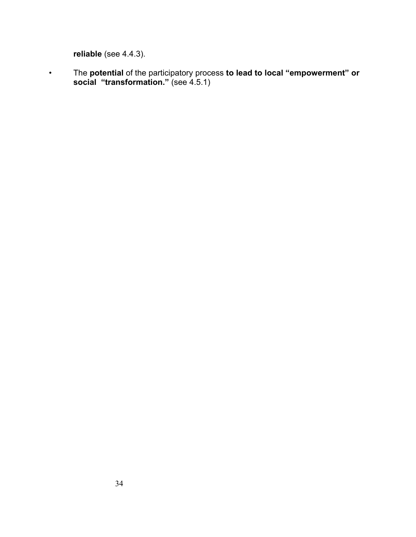**reliable** (see 4.4.3).

• The **potential** of the participatory process **to lead to local "empowerment" or social "transformation."** (see 4.5.1)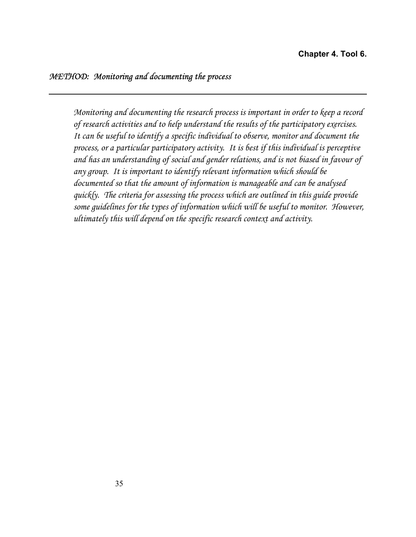*Monitoring and documenting the research process is important in order to keep a record of research activities and to help understand the results of the participatory exercises. It can be useful to identify a specific individual to observe, monitor and document the process, or a particular participatory activity. It is best if this individual is perceptive and has an understanding of social and gender relations, and is not biased in favour of any group. It is important to identify relevant information which should be documented so that the amount of information is manageable and can be analysed quickly. The criteria for assessing the process which are outlined in this guide provide some guidelines for the types of information which will be useful to monitor. However, ultimately this will depend on the specific research context and activity.*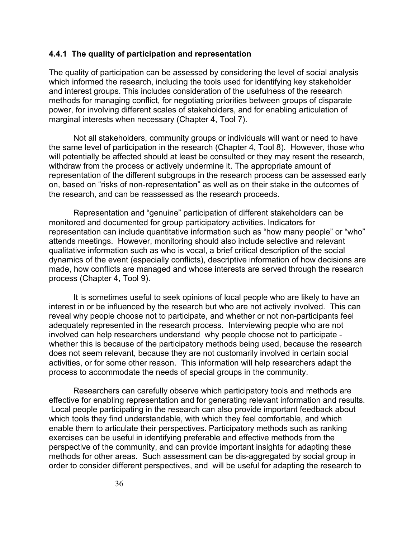#### **4.4.1 The quality of participation and representation**

The quality of participation can be assessed by considering the level of social analysis which informed the research, including the tools used for identifying key stakeholder and interest groups. This includes consideration of the usefulness of the research methods for managing conflict, for negotiating priorities between groups of disparate power, for involving different scales of stakeholders, and for enabling articulation of marginal interests when necessary (Chapter 4, Tool 7).

Not all stakeholders, community groups or individuals will want or need to have the same level of participation in the research (Chapter 4, Tool 8). However, those who will potentially be affected should at least be consulted or they may resent the research, withdraw from the process or actively undermine it. The appropriate amount of representation of the different subgroups in the research process can be assessed early on, based on "risks of non-representation" as well as on their stake in the outcomes of the research, and can be reassessed as the research proceeds.

Representation and "genuine" participation of different stakeholders can be monitored and documented for group participatory activities. Indicators for representation can include quantitative information such as "how many people" or "who" attends meetings. However, monitoring should also include selective and relevant qualitative information such as who is vocal, a brief critical description of the social dynamics of the event (especially conflicts), descriptive information of how decisions are made, how conflicts are managed and whose interests are served through the research process (Chapter 4, Tool 9).

It is sometimes useful to seek opinions of local people who are likely to have an interest in or be influenced by the research but who are not actively involved. This can reveal why people choose not to participate, and whether or not non-participants feel adequately represented in the research process. Interviewing people who are not involved can help researchers understand why people choose not to participate whether this is because of the participatory methods being used, because the research does not seem relevant, because they are not customarily involved in certain social activities, or for some other reason. This information will help researchers adapt the process to accommodate the needs of special groups in the community.

Researchers can carefully observe which participatory tools and methods are effective for enabling representation and for generating relevant information and results. Local people participating in the research can also provide important feedback about which tools they find understandable, with which they feel comfortable, and which enable them to articulate their perspectives. Participatory methods such as ranking exercises can be useful in identifying preferable and effective methods from the perspective of the community, and can provide important insights for adapting these methods for other areas. Such assessment can be dis-aggregated by social group in order to consider different perspectives, and will be useful for adapting the research to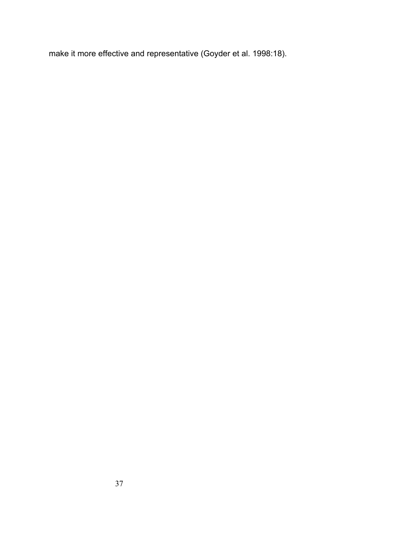make it more effective and representative (Goyder et al. 1998:18).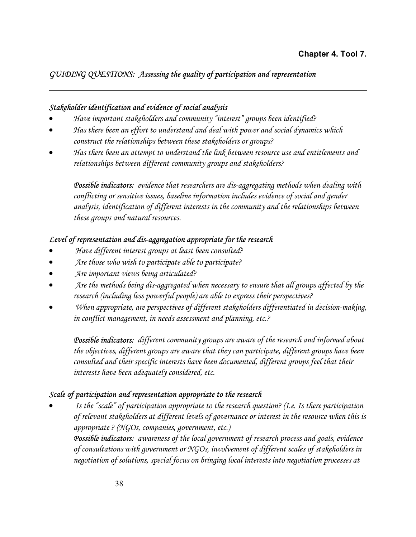## *GUIDING QUESTIONS: Assessing the quality of participation and representation*

#### *Stakeholder identification and evidence of social analysis*

- *Have important stakeholders and community "interest" groups been identified?*
- *Has there been an effort to understand and deal with power and social dynamics which construct the relationships between these stakeholders or groups?*
- *Has there been an attempt to understand the link between resource use and entitlements and relationships between different community groups and stakeholders?*

*Possible indicators: evidence that researchers are dis-aggregating methods when dealing with conflicting or sensitive issues, baseline information includes evidence of social and gender analysis, identification of different interests in the community and the relationships between these groups and natural resources.* 

## *Level of representation and dis-aggregation appropriate for the research*

- • *Have different interest groups at least been consulted?*
- • *Are those who wish to participate able to participate?*
- • *Are important views being articulated?*
- • *Are the methods being dis-aggregated when necessary to ensure that all groups affected by the research (including less powerful people) are able to express their perspectives?*
- • *When appropriate, are perspectives of different stakeholders differentiated in decision-making, in conflict management, in needs assessment and planning, etc.?*

*Possible indicators: different community groups are aware of the research and informed about the objectives, different groups are aware that they can participate, different groups have been consulted and their specific interests have been documented, different groups feel that their interests have been adequately considered, etc.* 

## *Scale of participation and representation appropriate to the research*

• *Is the "scale" of participation appropriate to the research question? (I.e. Is there participation of relevant stakeholders at different levels of governance or interest in the resource when this is appropriate ? (NGOs, companies, government, etc.)* 

*Possible indicators: awareness of the local government of research process and goals, evidence of consultations with government or NGOs, involvement of different scales of stakeholders in negotiation of solutions, special focus on bringing local interests into negotiation processes at*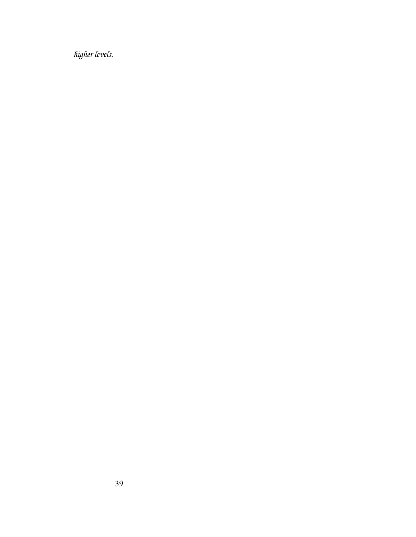*higher levels.*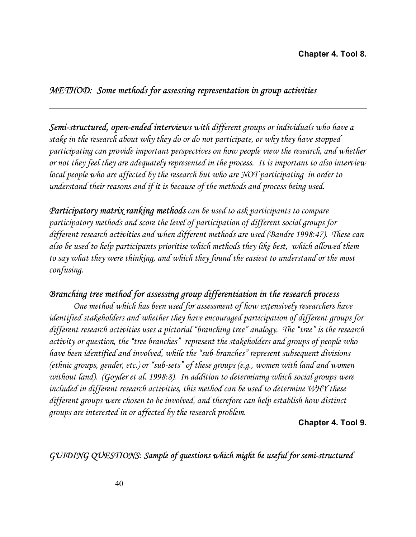#### **Chapter 4. Tool 8.**

#### *METHOD: Some methods for assessing representation in group activities*

*Semi-structured, open-ended interviews with different groups or individuals who have a stake in the research about why they do or do not participate, or why they have stopped participating can provide important perspectives on how people view the research, and whether or not they feel they are adequately represented in the process. It is important to also interview local people who are affected by the research but who are NOT participating in order to understand their reasons and if it is because of the methods and process being used.* 

*Participatory matrix ranking methods can be used to ask participants to compare participatory methods and score the level of participation of different social groups for different research activities and when different methods are used (Bandre 1998:47). These can also be used to help participants prioritise which methods they like best, which allowed them to say what they were thinking, and which they found the easiest to understand or the most confusing.* 

#### *Branching tree method for assessing group differentiation in the research process*

*One method which has been used for assessment of how extensively researchers have identified stakeholders and whether they have encouraged participation of different groups for different research activities uses a pictorial "branching tree" analogy. The "tree" is the research activity or question, the "tree branches" represent the stakeholders and groups of people who have been identified and involved, while the "sub-branches" represent subsequent divisions (ethnic groups, gender, etc.) or "sub-sets" of these groups (e.g., women with land and women without land). (Goyder et al. 1998:8). In addition to determining which social groups were included in different research activities, this method can be used to determine WHY these different groups were chosen to be involved, and therefore can help establish how distinct groups are interested in or affected by the research problem.* 

**Chapter 4. Tool 9.**

## *GUIDING QUESTIONS: Sample of questions which might be useful for semi-structured*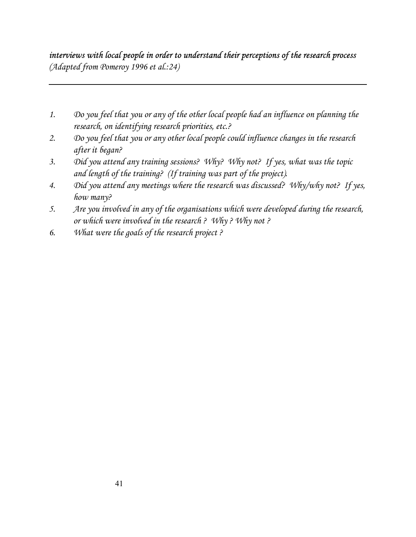# *interviews with local people in order to understand their perceptions of the research process (Adapted from Pomeroy 1996 et al.:24)*

- *1. Do you feel that you or any of the other local people had an influence on planning the research, on identifying research priorities, etc.?*
- *2. Do you feel that you or any other local people could influence changes in the research after it began?*
- *3. Did you attend any training sessions? Why? Why not? If yes, what was the topic and length of the training? (If training was part of the project).*
- *4. Did you attend any meetings where the research was discussed? Why/why not? If yes, how many?*
- *5. Are you involved in any of the organisations which were developed during the research, or which were involved in the research ? Why ? Why not ?*
- *6. What were the goals of the research project ?*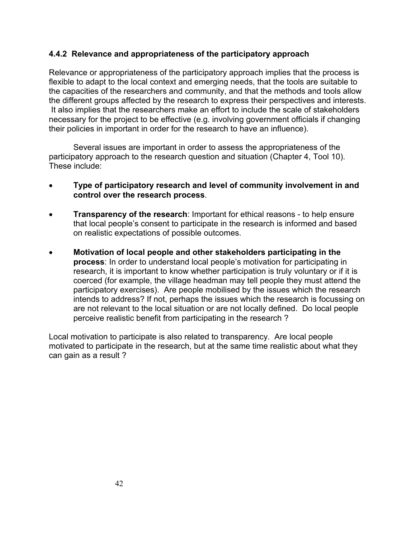#### **4.4.2 Relevance and appropriateness of the participatory approach**

Relevance or appropriateness of the participatory approach implies that the process is flexible to adapt to the local context and emerging needs, that the tools are suitable to the capacities of the researchers and community, and that the methods and tools allow the different groups affected by the research to express their perspectives and interests. It also implies that the researchers make an effort to include the scale of stakeholders necessary for the project to be effective (e.g. involving government officials if changing their policies in important in order for the research to have an influence).

Several issues are important in order to assess the appropriateness of the participatory approach to the research question and situation (Chapter 4, Tool 10). These include:

- **Type of participatory research and level of community involvement in and control over the research process**.
- **Transparency of the research**: Important for ethical reasons to help ensure that local people's consent to participate in the research is informed and based on realistic expectations of possible outcomes.
- **Motivation of local people and other stakeholders participating in the process**: In order to understand local people's motivation for participating in research, it is important to know whether participation is truly voluntary or if it is coerced (for example, the village headman may tell people they must attend the participatory exercises). Are people mobilised by the issues which the research intends to address? If not, perhaps the issues which the research is focussing on are not relevant to the local situation or are not locally defined. Do local people perceive realistic benefit from participating in the research ?

Local motivation to participate is also related to transparency. Are local people motivated to participate in the research, but at the same time realistic about what they can gain as a result ?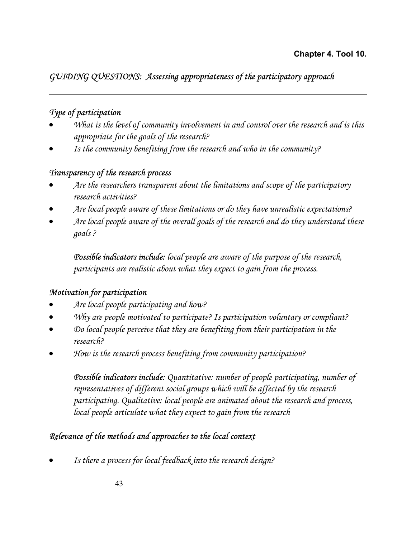# *GUIDING QUESTIONS: Assessing appropriateness of the participatory approach*

## *Type of participation*

- *What is the level of community involvement in and control over the research and is this appropriate for the goals of the research?*
- *Is the community benefiting from the research and who in the community?*

## *Transparency of the research process*

- *Are the researchers transparent about the limitations and scope of the participatory research activities?*
- *Are local people aware of these limitations or do they have unrealistic expectations?*
- *Are local people aware of the overall goals of the research and do they understand these goals ?*

 *Possible indicators include: local people are aware of the purpose of the research, participants are realistic about what they expect to gain from the process.* 

## *Motivation for participation*

- *Are local people participating and how?*
- *Why are people motivated to participate? Is participation voluntary or compliant?*
- *Do local people perceive that they are benefiting from their participation in the research?*
- *How is the research process benefiting from community participation?*

*Possible indicators include: Quantitative: number of people participating, number of representatives of different social groups which will be affected by the research participating. Qualitative: local people are animated about the research and process, local people articulate what they expect to gain from the research* 

## *Relevance of the methods and approaches to the local context*

• *Is there a process for local feedback into the research design?*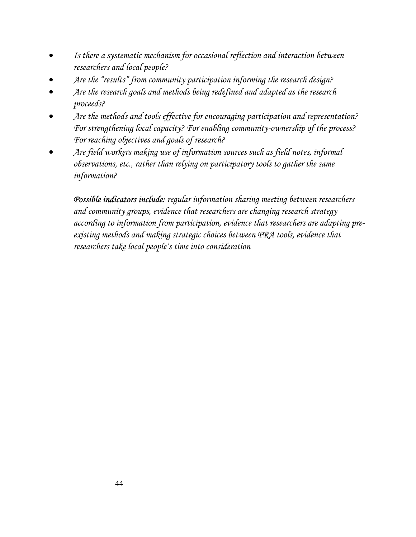- *Is there a systematic mechanism for occasional reflection and interaction between researchers and local people?*
- *Are the "results" from community participation informing the research design?*
- *Are the research goals and methods being redefined and adapted as the research proceeds?*
- *Are the methods and tools effective for encouraging participation and representation? For strengthening local capacity? For enabling community-ownership of the process? For reaching objectives and goals of research?*
- *Are field workers making use of information sources such as field notes, informal observations, etc., rather than relying on participatory tools to gather the same information?*

*Possible indicators include: regular information sharing meeting between researchers and community groups, evidence that researchers are changing research strategy according to information from participation, evidence that researchers are adapting preexisting methods and making strategic choices between PRA tools, evidence that researchers take local people's time into consideration*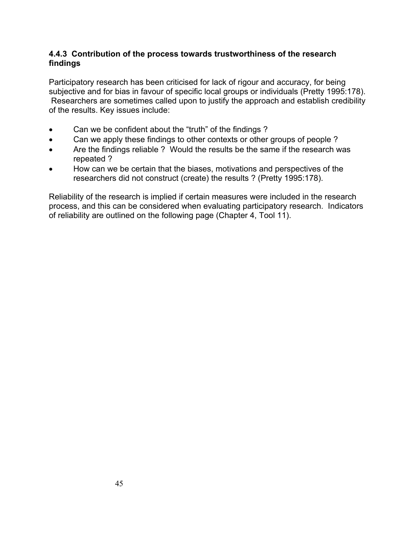#### **4.4.3 Contribution of the process towards trustworthiness of the research findings**

Participatory research has been criticised for lack of rigour and accuracy, for being subjective and for bias in favour of specific local groups or individuals (Pretty 1995:178). Researchers are sometimes called upon to justify the approach and establish credibility of the results. Key issues include:

- Can we be confident about the "truth" of the findings ?
- Can we apply these findings to other contexts or other groups of people?
- Are the findings reliable ? Would the results be the same if the research was repeated ?
- How can we be certain that the biases, motivations and perspectives of the researchers did not construct (create) the results ? (Pretty 1995:178).

Reliability of the research is implied if certain measures were included in the research process, and this can be considered when evaluating participatory research. Indicators of reliability are outlined on the following page (Chapter 4, Tool 11).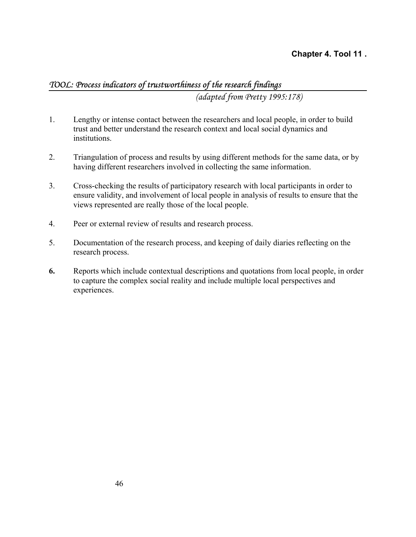#### **Chapter 4. Tool 11 .**

## *TOOL: Process indicators of trustworthiness of the research findings*

*(adapted from Pretty 1995:178)* 

- 1. Lengthy or intense contact between the researchers and local people, in order to build trust and better understand the research context and local social dynamics and institutions.
- 2. Triangulation of process and results by using different methods for the same data, or by having different researchers involved in collecting the same information.
- 3. Cross-checking the results of participatory research with local participants in order to ensure validity, and involvement of local people in analysis of results to ensure that the views represented are really those of the local people.
- 4. Peer or external review of results and research process.
- 5. Documentation of the research process, and keeping of daily diaries reflecting on the research process.
- **6.** Reports which include contextual descriptions and quotations from local people, in order to capture the complex social reality and include multiple local perspectives and experiences.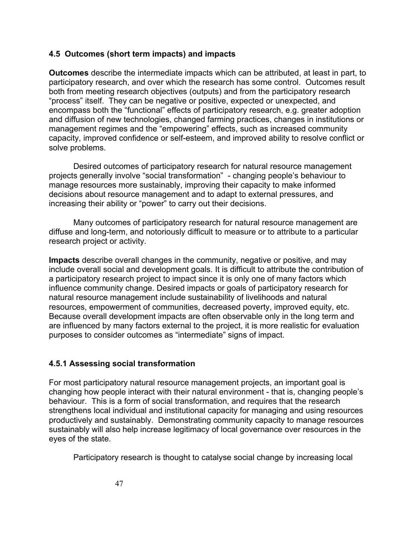#### **4.5 Outcomes (short term impacts) and impacts**

**Outcomes** describe the intermediate impacts which can be attributed, at least in part, to participatory research, and over which the research has some control. Outcomes result both from meeting research objectives (outputs) and from the participatory research "process" itself. They can be negative or positive, expected or unexpected, and encompass both the "functional" effects of participatory research, e.g. greater adoption and diffusion of new technologies, changed farming practices, changes in institutions or management regimes and the "empowering" effects, such as increased community capacity, improved confidence or self-esteem, and improved ability to resolve conflict or solve problems.

Desired outcomes of participatory research for natural resource management projects generally involve "social transformation" - changing people's behaviour to manage resources more sustainably, improving their capacity to make informed decisions about resource management and to adapt to external pressures, and increasing their ability or "power" to carry out their decisions.

Many outcomes of participatory research for natural resource management are diffuse and long-term, and notoriously difficult to measure or to attribute to a particular research project or activity.

**Impacts** describe overall changes in the community, negative or positive, and may include overall social and development goals. It is difficult to attribute the contribution of a participatory research project to impact since it is only one of many factors which influence community change. Desired impacts or goals of participatory research for natural resource management include sustainability of livelihoods and natural resources, empowerment of communities, decreased poverty, improved equity, etc. Because overall development impacts are often observable only in the long term and are influenced by many factors external to the project, it is more realistic for evaluation purposes to consider outcomes as "intermediate" signs of impact.

#### **4.5.1 Assessing social transformation**

For most participatory natural resource management projects, an important goal is changing how people interact with their natural environment - that is, changing people's behaviour. This is a form of social transformation, and requires that the research strengthens local individual and institutional capacity for managing and using resources productively and sustainably. Demonstrating community capacity to manage resources sustainably will also help increase legitimacy of local governance over resources in the eyes of the state.

Participatory research is thought to catalyse social change by increasing local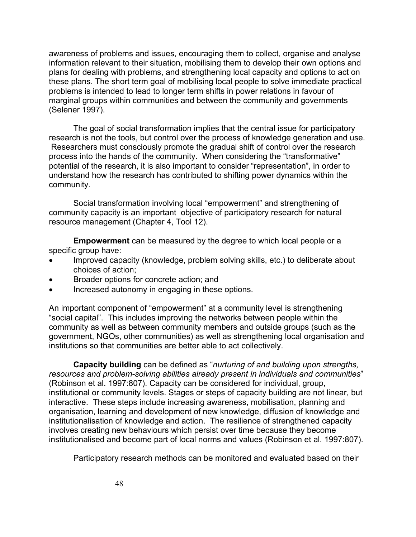awareness of problems and issues, encouraging them to collect, organise and analyse information relevant to their situation, mobilising them to develop their own options and plans for dealing with problems, and strengthening local capacity and options to act on these plans. The short term goal of mobilising local people to solve immediate practical problems is intended to lead to longer term shifts in power relations in favour of marginal groups within communities and between the community and governments (Selener 1997).

The goal of social transformation implies that the central issue for participatory research is not the tools, but control over the process of knowledge generation and use. Researchers must consciously promote the gradual shift of control over the research process into the hands of the community. When considering the "transformative" potential of the research, it is also important to consider "representation", in order to understand how the research has contributed to shifting power dynamics within the community.

Social transformation involving local "empowerment" and strengthening of community capacity is an important objective of participatory research for natural resource management (Chapter 4, Tool 12).

**Empowerment** can be measured by the degree to which local people or a specific group have:

- Improved capacity (knowledge, problem solving skills, etc.) to deliberate about choices of action;
- Broader options for concrete action; and
- Increased autonomy in engaging in these options.

An important component of "empowerment" at a community level is strengthening "social capital". This includes improving the networks between people within the community as well as between community members and outside groups (such as the government, NGOs, other communities) as well as strengthening local organisation and institutions so that communities are better able to act collectively.

**Capacity building** can be defined as "*nurturing of and building upon strengths, resources and problem-solving abilities already present in individuals and communities*" (Robinson et al. 1997:807). Capacity can be considered for individual, group, institutional or community levels. Stages or steps of capacity building are not linear, but interactive. These steps include increasing awareness, mobilisation, planning and organisation, learning and development of new knowledge, diffusion of knowledge and institutionalisation of knowledge and action. The resilience of strengthened capacity involves creating new behaviours which persist over time because they become institutionalised and become part of local norms and values (Robinson et al. 1997:807).

Participatory research methods can be monitored and evaluated based on their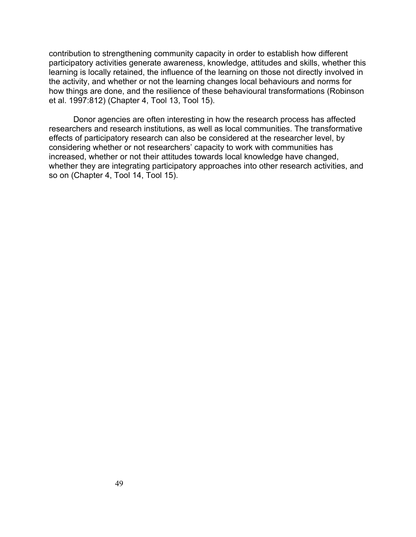contribution to strengthening community capacity in order to establish how different participatory activities generate awareness, knowledge, attitudes and skills, whether this learning is locally retained, the influence of the learning on those not directly involved in the activity, and whether or not the learning changes local behaviours and norms for how things are done, and the resilience of these behavioural transformations (Robinson et al. 1997:812) (Chapter 4, Tool 13, Tool 15).

Donor agencies are often interesting in how the research process has affected researchers and research institutions, as well as local communities. The transformative effects of participatory research can also be considered at the researcher level, by considering whether or not researchers' capacity to work with communities has increased, whether or not their attitudes towards local knowledge have changed, whether they are integrating participatory approaches into other research activities, and so on (Chapter 4, Tool 14, Tool 15).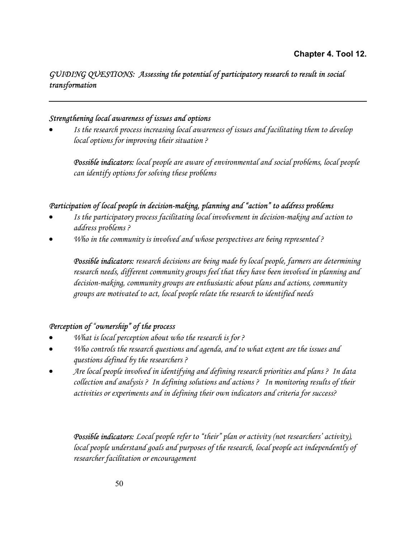## *GUIDING QUESTIONS: Assessing the potential of participatory research to result in social transformation*

#### *Strengthening local awareness of issues and options*

• *Is the research process increasing local awareness of issues and facilitating them to develop local options for improving their situation ?* 

*Possible indicators: local people are aware of environmental and social problems, local people can identify options for solving these problems* 

#### *Participation of local people in decision-making, planning and "action" to address problems*

- *Is the participatory process facilitating local involvement in decision-making and action to address problems ?*
- *Who in the community is involved and whose perspectives are being represented ?*

*Possible indicators: research decisions are being made by local people, farmers are determining research needs, different community groups feel that they have been involved in planning and decision-making, community groups are enthusiastic about plans and actions, community groups are motivated to act, local people relate the research to identified needs* 

#### *Perception of "ownership" of the process*

- *What is local perception about who the research is for ?*
- *Who controls the research questions and agenda, and to what extent are the issues and questions defined by the researchers ?*
- *Are local people involved in identifying and defining research priorities and plans ? In data collection and analysis ? In defining solutions and actions ? In monitoring results of their activities or experiments and in defining their own indicators and criteria for success?*

*Possible indicators: Local people refer to "their" plan or activity (not researchers' activity), local people understand goals and purposes of the research, local people act independently of researcher facilitation or encouragement*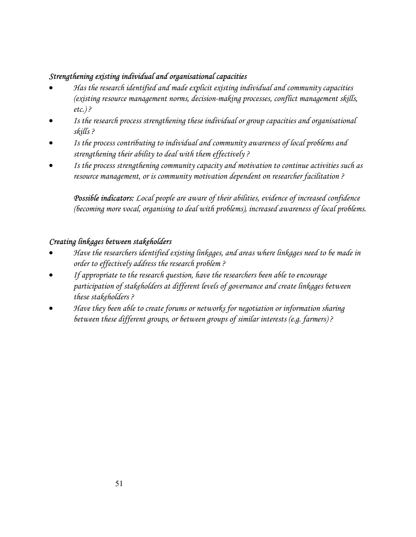#### *Strengthening existing individual and organisational capacities*

- *Has the research identified and made explicit existing individual and community capacities (existing resource management norms, decision-making processes, conflict management skills, etc.) ?*
- *Is the research process strengthening these individual or group capacities and organisational skills ?*
- *Is the process contributing to individual and community awareness of local problems and strengthening their ability to deal with them effectively ?*
- *Is the process strengthening community capacity and motivation to continue activities such as resource management, or is community motivation dependent on researcher facilitation ?*

*Possible indicators: Local people are aware of their abilities, evidence of increased confidence (becoming more vocal, organising to deal with problems), increased awareness of local problems.* 

#### *Creating linkages between stakeholders*

- *Have the researchers identified existing linkages, and areas where linkages need to be made in order to effectively address the research problem ?*
- *If appropriate to the research question, have the researchers been able to encourage participation of stakeholders at different levels of governance and create linkages between these stakeholders ?*
- *Have they been able to create forums or networks for negotiation or information sharing between these different groups, or between groups of similar interests (e.g. farmers) ?*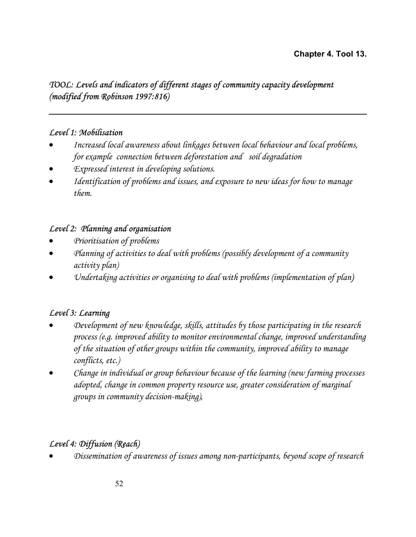#### **Chapter 4. Tool 13.**

## *TOOL: Levels and indicators of different stages of community capacity development (modified from Robinson 1997:816)*

#### *Level 1: Mobilisation*

- *Increased local awareness about linkages between local behaviour and local problems, for example connection between deforestation and soil degradation*
- *Expressed interest in developing solutions.*
- *Identification of problems and issues, and exposure to new ideas for how to manage them.*

#### *Level 2: Planning and organisation*

- *Prioritisation of problems*
- *Planning of activities to deal with problems (possibly development of a community activity plan)*
- *Undertaking activities or organising to deal with problems (implementation of plan)*

## *Level 3: Learning*

- *Development of new knowledge, skills, attitudes by those participating in the research process (e.g. improved ability to monitor environmental change, improved understanding of the situation of other groups within the community, improved ability to manage conflicts, etc.)*
- *Change in individual or group behaviour because of the learning (new farming processes adopted, change in common property resource use, greater consideration of marginal groups in community decision-making),*

## *Level 4: Diffusion (Reach)*

• *Dissemination of awareness of issues among non-participants, beyond scope of research*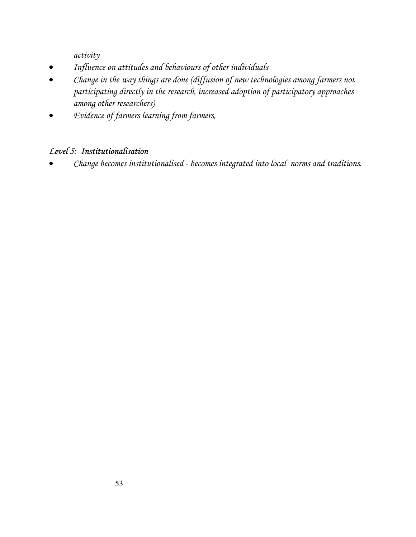*activity* 

- *Influence on attitudes and behaviours of other individuals*
- *Change in the way things are done (diffusion of new technologies among farmers not participating directly in the research, increased adoption of participatory approaches among other researchers)*
- *Evidence of farmers learning from farmers,*

# *Level 5: Institutionalisation*

• *Change becomes institutionalised - becomes integrated into local norms and traditions.*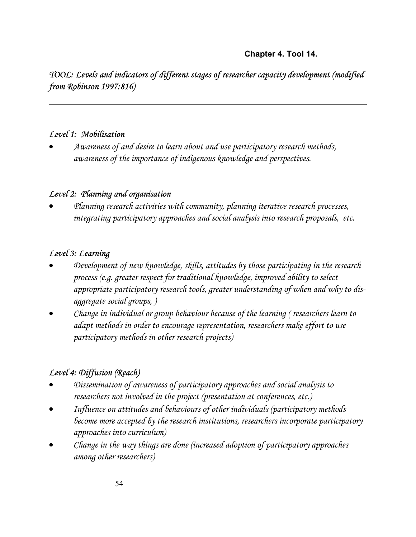# *TOOL: Levels and indicators of different stages of researcher capacity development (modified from Robinson 1997:816)*

#### *Level 1: Mobilisation*

• *Awareness of and desire to learn about and use participatory research methods, awareness of the importance of indigenous knowledge and perspectives.* 

#### *Level 2: Planning and organisation*

• *Planning research activities with community, planning iterative research processes, integrating participatory approaches and social analysis into research proposals, etc.* 

#### *Level 3: Learning*

- *Development of new knowledge, skills, attitudes by those participating in the research process (e.g. greater respect for traditional knowledge, improved ability to select appropriate participatory research tools, greater understanding of when and why to disaggregate social groups, )*
- *Change in individual or group behaviour because of the learning ( researchers learn to adapt methods in order to encourage representation, researchers make effort to use participatory methods in other research projects)*

## *Level 4: Diffusion (Reach)*

- *Dissemination of awareness of participatory approaches and social analysis to researchers not involved in the project (presentation at conferences, etc.)*
- *Influence on attitudes and behaviours of other individuals (participatory methods become more accepted by the research institutions, researchers incorporate participatory approaches into curriculum)*
- *Change in the way things are done (increased adoption of participatory approaches among other researchers)*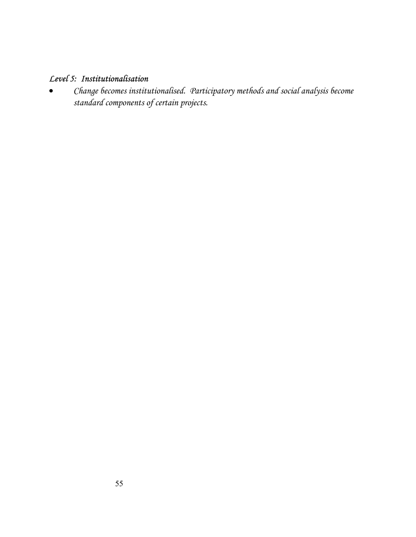## *Level 5: Institutionalisation*

• *Change becomes institutionalised. Participatory methods and social analysis become standard components of certain projects.*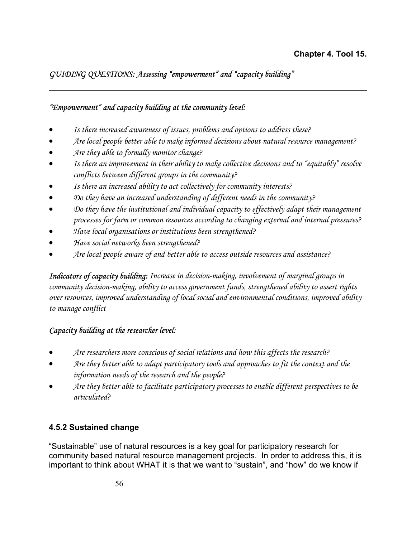## *GUIDING QUESTIONS: Assessing "empowerment" and "capacity building"*

#### *"Empowerment" and capacity building at the community level:*

- *Is there increased awareness of issues, problems and options to address these?*
- *Are local people better able to make informed decisions about natural resource management?*
- *Are they able to formally monitor change?*

- *Is there an improvement in their ability to make collective decisions and to "equitably" resolve conflicts between different groups in the community?*
- *Is there an increased ability to act collectively for community interests?*
- *Do they have an increased understanding of different needs in the community?*
- *Do they have the institutional and individual capacity to effectively adapt their management processes for farm or common resources according to changing external and internal pressures?*
- *Have local organisations or institutions been strengthened?*
- *Have social networks been strengthened?*
- *Are local people aware of and better able to access outside resources and assistance?*

*Indicators of capacity building: Increase in decision-making, involvement of marginal groups in community decision-making, ability to access government funds, strengthened ability to assert rights over resources, improved understanding of local social and environmental conditions, improved ability to manage conflict* 

## *Capacity building at the researcher level:*

- *Are researchers more conscious of social relations and how this affects the research?*
- *Are they better able to adapt participatory tools and approaches to fit the context and the information needs of the research and the people?*
- *Are they better able to facilitate participatory processes to enable different perspectives to be articulated?*

## **4.5.2 Sustained change**

"Sustainable" use of natural resources is a key goal for participatory research for community based natural resource management projects. In order to address this, it is important to think about WHAT it is that we want to "sustain", and "how" do we know if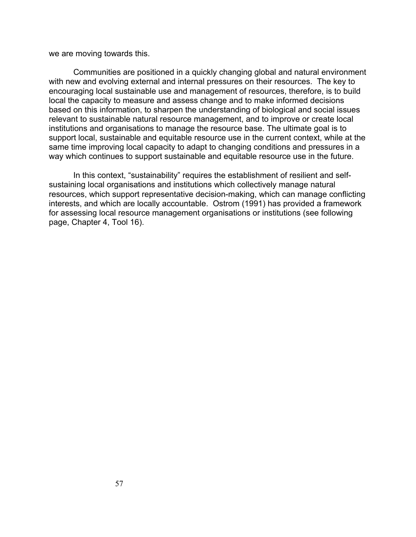we are moving towards this.

Communities are positioned in a quickly changing global and natural environment with new and evolving external and internal pressures on their resources. The key to encouraging local sustainable use and management of resources, therefore, is to build local the capacity to measure and assess change and to make informed decisions based on this information, to sharpen the understanding of biological and social issues relevant to sustainable natural resource management, and to improve or create local institutions and organisations to manage the resource base. The ultimate goal is to support local, sustainable and equitable resource use in the current context, while at the same time improving local capacity to adapt to changing conditions and pressures in a way which continues to support sustainable and equitable resource use in the future.

In this context, "sustainability" requires the establishment of resilient and selfsustaining local organisations and institutions which collectively manage natural resources, which support representative decision-making, which can manage conflicting interests, and which are locally accountable. Ostrom (1991) has provided a framework for assessing local resource management organisations or institutions (see following page, Chapter 4, Tool 16).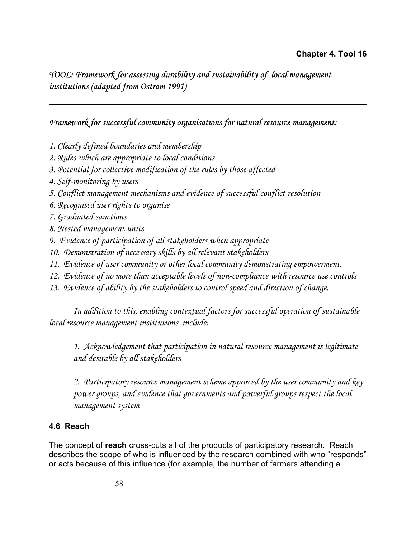*TOOL: Framework for assessing durability and sustainability of local management institutions (adapted from Ostrom 1991)*

#### *Framework for successful community organisations for natural resource management:*

- *1. Clearly defined boundaries and membership*
- *2. Rules which are appropriate to local conditions*
- *3. Potential for collective modification of the rules by those affected*
- *4. Self-monitoring by users*
- *5. Conflict management mechanisms and evidence of successful conflict resolution*
- *6. Recognised user rights to organise*
- *7. Graduated sanctions*
- *8. Nested management units*
- *9. Evidence of participation of all stakeholders when appropriate*
- *10. Demonstration of necessary skills by all relevant stakeholders*
- 11. Evidence of user community or other local community demonstrating empowerment.
- *12. Evidence of no more than acceptable levels of non-compliance with resource use controls*
- *13. Evidence of ability by the stakeholders to control speed and direction of change.*

*In addition to this, enabling contextual factors for successful operation of sustainable local resource management institutions include:* 

*1. Acknowledgement that participation in natural resource management is legitimate and desirable by all stakeholders* 

*2. Participatory resource management scheme approved by the user community and key power groups, and evidence that governments and powerful groups respect the local management system* 

## **4.6 Reach**

The concept of **reach** cross-cuts all of the products of participatory research.Reach describes the scope of who is influenced by the research combined with who "responds" or acts because of this influence (for example, the number of farmers attending a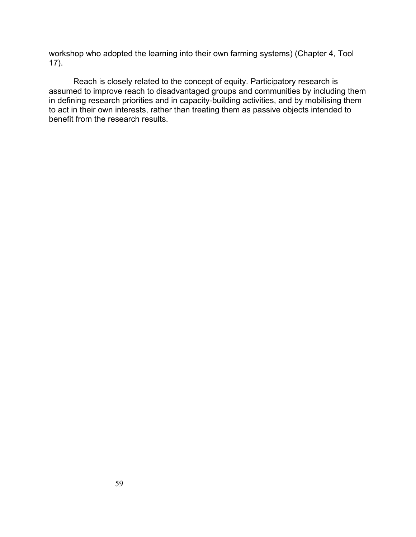workshop who adopted the learning into their own farming systems) (Chapter 4, Tool 17).

Reach is closely related to the concept of equity. Participatory research is assumed to improve reach to disadvantaged groups and communities by including them in defining research priorities and in capacity-building activities, and by mobilising them to act in their own interests, rather than treating them as passive objects intended to benefit from the research results.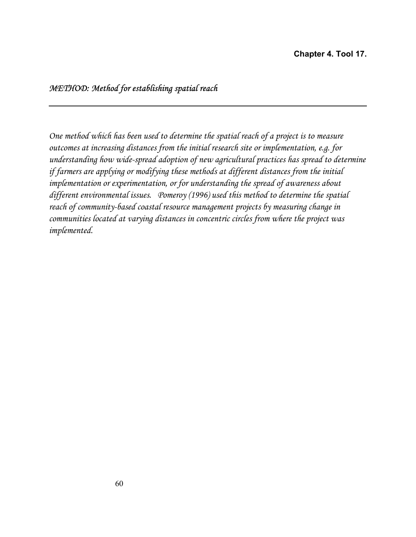## *METHOD: Method for establishing spatial reach*

*One method which has been used to determine the spatial reach of a project is to measure outcomes at increasing distances from the initial research site or implementation, e.g. for understanding how wide-spread adoption of new agricultural practices has spread to determine if farmers are applying or modifying these methods at different distances from the initial implementation or experimentation, or for understanding the spread of awareness about different environmental issues. Pomeroy (1996) used this method to determine the spatial reach of community-based coastal resource management projects by measuring change in communities located at varying distances in concentric circles from where the project was implemented.*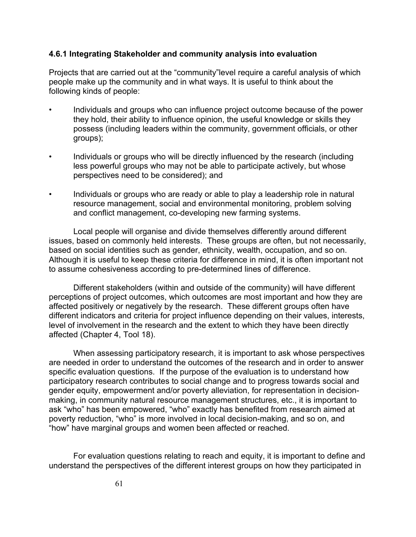#### **4.6.1 Integrating Stakeholder and community analysis into evaluation**

Projects that are carried out at the "community"level require a careful analysis of which people make up the community and in what ways. It is useful to think about the following kinds of people:

- Individuals and groups who can influence project outcome because of the power they hold, their ability to influence opinion, the useful knowledge or skills they possess (including leaders within the community, government officials, or other groups);
- Individuals or groups who will be directly influenced by the research (including less powerful groups who may not be able to participate actively, but whose perspectives need to be considered); and
- Individuals or groups who are ready or able to play a leadership role in natural resource management, social and environmental monitoring, problem solving and conflict management, co-developing new farming systems.

Local people will organise and divide themselves differently around different issues, based on commonly held interests. These groups are often, but not necessarily, based on social identities such as gender, ethnicity, wealth, occupation, and so on. Although it is useful to keep these criteria for difference in mind, it is often important not to assume cohesiveness according to pre-determined lines of difference.

Different stakeholders (within and outside of the community) will have different perceptions of project outcomes, which outcomes are most important and how they are affected positively or negatively by the research. These different groups often have different indicators and criteria for project influence depending on their values, interests, level of involvement in the research and the extent to which they have been directly affected (Chapter 4, Tool 18).

When assessing participatory research, it is important to ask whose perspectives are needed in order to understand the outcomes of the research and in order to answer specific evaluation questions. If the purpose of the evaluation is to understand how participatory research contributes to social change and to progress towards social and gender equity, empowerment and/or poverty alleviation, for representation in decisionmaking, in community natural resource management structures, etc., it is important to ask "who" has been empowered, "who" exactly has benefited from research aimed at poverty reduction, "who" is more involved in local decision-making, and so on, and "how" have marginal groups and women been affected or reached.

For evaluation questions relating to reach and equity, it is important to define and understand the perspectives of the different interest groups on how they participated in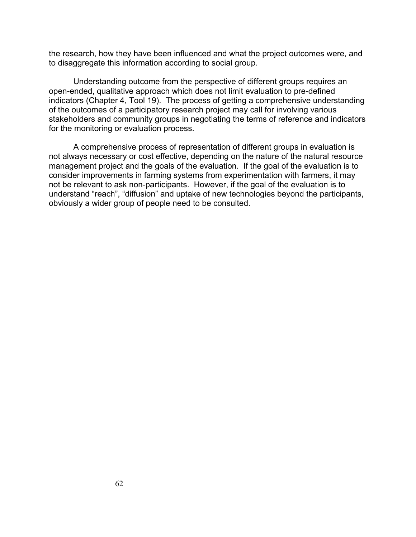the research, how they have been influenced and what the project outcomes were, and to disaggregate this information according to social group.

Understanding outcome from the perspective of different groups requires an open-ended, qualitative approach which does not limit evaluation to pre-defined indicators (Chapter 4, Tool 19). The process of getting a comprehensive understanding of the outcomes of a participatory research project may call for involving various stakeholders and community groups in negotiating the terms of reference and indicators for the monitoring or evaluation process.

A comprehensive process of representation of different groups in evaluation is not always necessary or cost effective, depending on the nature of the natural resource management project and the goals of the evaluation. If the goal of the evaluation is to consider improvements in farming systems from experimentation with farmers, it may not be relevant to ask non-participants. However, if the goal of the evaluation is to understand "reach", "diffusion" and uptake of new technologies beyond the participants, obviously a wider group of people need to be consulted.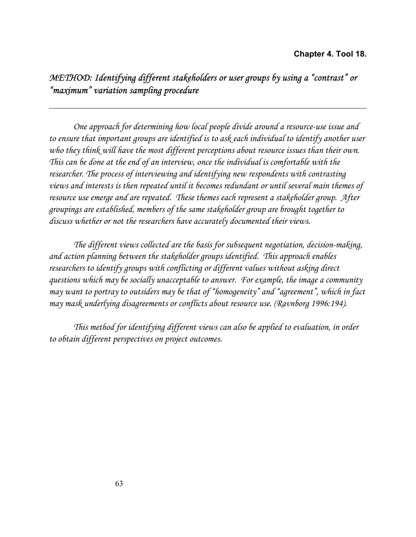# *METHOD: Identifying different stakeholders or user groups by using a "contrast" or "maximum" variation sampling procedure*

*One approach for determining how local people divide around a resource-use issue and to ensure that important groups are identified is to ask each individual to identify another user who they think will have the most different perceptions about resource issues than their own. This can be done at the end of an interview, once the individual is comfortable with the researcher. The process of interviewing and identifying new respondents with contrasting views and interests is then repeated until it becomes redundant or until several main themes of resource use emerge and are repeated. These themes each represent a stakeholder group. After groupings are established, members of the same stakeholder group are brought together to discuss whether or not the researchers have accurately documented their views.* 

*The different views collected are the basis for subsequent negotiation, decision-making, and action planning between the stakeholder groups identified. This approach enables researchers to identify groups with conflicting or different values without asking direct questions which may be socially unacceptable to answer. For example, the image a community may want to portray to outsiders may be that of "homogeneity" and "agreement", which in fact may mask underlying disagreements or conflicts about resource use. (Ravnborg 1996:194).* 

*This method for identifying different views can also be applied to evaluation, in order to obtain different perspectives on project outcomes*.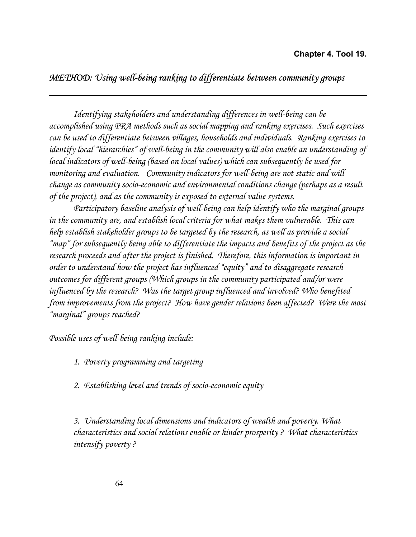## *METHOD: Using well-being ranking to differentiate between community groups*

*Identifying stakeholders and understanding differences in well-being can be accomplished using PRA methods such as social mapping and ranking exercises. Such exercises can be used to differentiate between villages, households and individuals. Ranking exercises to identify local "hierarchies" of well-being in the community will also enable an understanding of local indicators of well-being (based on local values) which can subsequently be used for monitoring and evaluation. Community indicators for well-being are not static and will change as community socio-economic and environmental conditions change (perhaps as a result of the project), and as the community is exposed to external value systems.* 

*Participatory baseline analysis of well-being can help identify who the marginal groups in the community are, and establish local criteria for what makes them vulnerable. This can help establish stakeholder groups to be targeted by the research, as well as provide a social "map" for subsequently being able to differentiate the impacts and benefits of the project as the research proceeds and after the project is finished. Therefore, this information is important in order to understand how the project has influenced "equity" and to disaggregate research outcomes for different groups (Which groups in the community participated and/or were influenced by the research? Was the target group influenced and involved? Who benefited from improvements from the project? How have gender relations been affected? Were the most "marginal" groups reached?* 

*Possible uses of well-being ranking include:* 

*1. Poverty programming and targeting* 

*2. Establishing level and trends of socio-economic equity* 

*3. Understanding local dimensions and indicators of wealth and poverty. What characteristics and social relations enable or hinder prosperity ? What characteristics intensify poverty ?*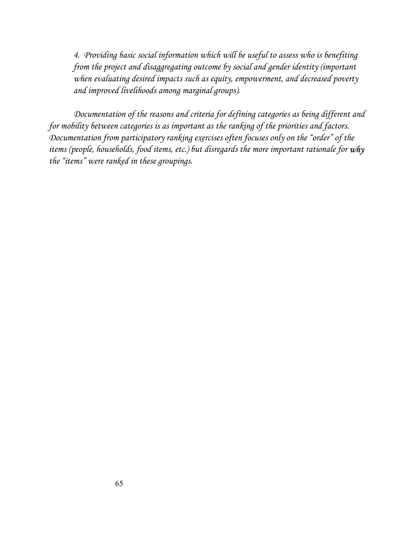*4. Providing basic social information which will be useful to assess who is benefiting from the project and disaggregating outcome by social and gender identity (important when evaluating desired impacts such as equity, empowerment, and decreased poverty and improved livelihoods among marginal groups).* 

*Documentation of the reasons and criteria for defining categories as being different and for mobility between categories is as important as the ranking of the priorities and factors. Documentation from participatory ranking exercises often focuses only on the "order" of the items (people, households, food items, etc.) but disregards the more important rationale for why the "items" were ranked in these groupings.*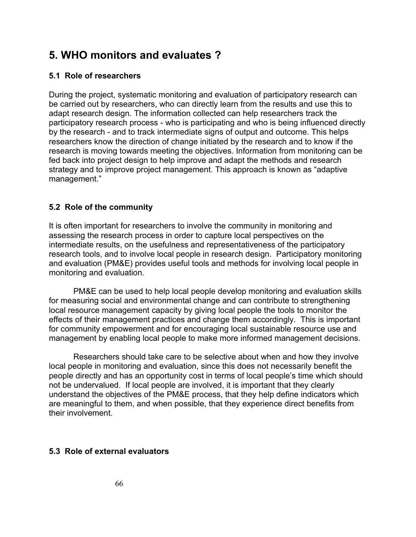# **5. WHO monitors and evaluates ?**

#### **5.1 Role of researchers**

During the project, systematic monitoring and evaluation of participatory research can be carried out by researchers, who can directly learn from the results and use this to adapt research design. The information collected can help researchers track the participatory research process - who is participating and who is being influenced directly by the research - and to track intermediate signs of output and outcome. This helps researchers know the direction of change initiated by the research and to know if the research is moving towards meeting the objectives. Information from monitoring can be fed back into project design to help improve and adapt the methods and research strategy and to improve project management. This approach is known as "adaptive management."

#### **5.2 Role of the community**

It is often important for researchers to involve the community in monitoring and assessing the research process in order to capture local perspectives on the intermediate results, on the usefulness and representativeness of the participatory research tools, and to involve local people in research design. Participatory monitoring and evaluation (PM&E) provides useful tools and methods for involving local people in monitoring and evaluation.

PM&E can be used to help local people develop monitoring and evaluation skills for measuring social and environmental change and can contribute to strengthening local resource management capacity by giving local people the tools to monitor the effects of their management practices and change them accordingly. This is important for community empowerment and for encouraging local sustainable resource use and management by enabling local people to make more informed management decisions.

Researchers should take care to be selective about when and how they involve local people in monitoring and evaluation, since this does not necessarily benefit the people directly and has an opportunity cost in terms of local people's time which should not be undervalued. If local people are involved, it is important that they clearly understand the objectives of the PM&E process, that they help define indicators which are meaningful to them, and when possible, that they experience direct benefits from their involvement.

#### **5.3 Role of external evaluators**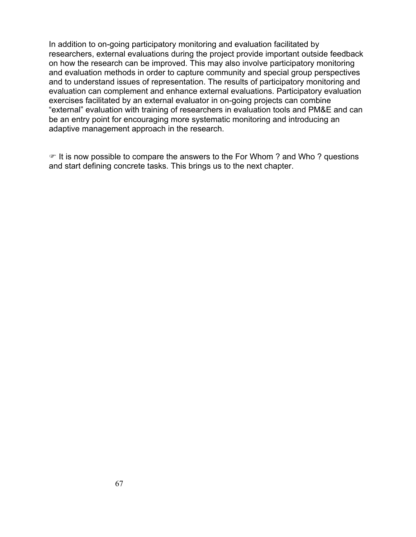In addition to on-going participatory monitoring and evaluation facilitated by researchers, external evaluations during the project provide important outside feedback on how the research can be improved. This may also involve participatory monitoring and evaluation methods in order to capture community and special group perspectives and to understand issues of representation. The results of participatory monitoring and evaluation can complement and enhance external evaluations. Participatory evaluation exercises facilitated by an external evaluator in on-going projects can combine "external" evaluation with training of researchers in evaluation tools and PM&E and can be an entry point for encouraging more systematic monitoring and introducing an adaptive management approach in the research.

 $\mathcal F$  It is now possible to compare the answers to the For Whom ? and Who ? questions and start defining concrete tasks. This brings us to the next chapter.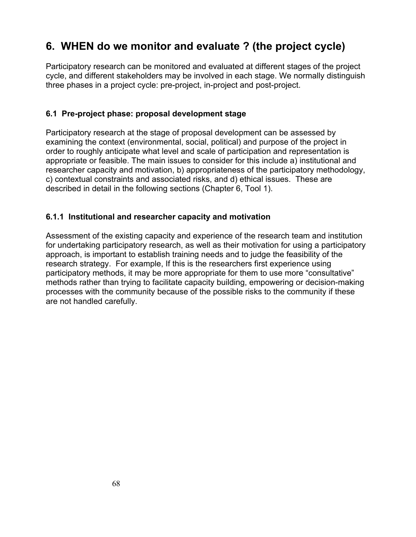# **6. WHEN do we monitor and evaluate ? (the project cycle)**

Participatory research can be monitored and evaluated at different stages of the project cycle, and different stakeholders may be involved in each stage. We normally distinguish three phases in a project cycle: pre-project, in-project and post-project.

#### **6.1 Pre-project phase: proposal development stage**

Participatory research at the stage of proposal development can be assessed by examining the context (environmental, social, political) and purpose of the project in order to roughly anticipate what level and scale of participation and representation is appropriate or feasible. The main issues to consider for this include a) institutional and researcher capacity and motivation, b) appropriateness of the participatory methodology, c) contextual constraints and associated risks, and d) ethical issues. These are described in detail in the following sections (Chapter 6, Tool 1).

#### **6.1.1 Institutional and researcher capacity and motivation**

Assessment of the existing capacity and experience of the research team and institution for undertaking participatory research, as well as their motivation for using a participatory approach, is important to establish training needs and to judge the feasibility of the research strategy. For example, If this is the researchers first experience using participatory methods, it may be more appropriate for them to use more "consultative" methods rather than trying to facilitate capacity building, empowering or decision-making processes with the community because of the possible risks to the community if these are not handled carefully.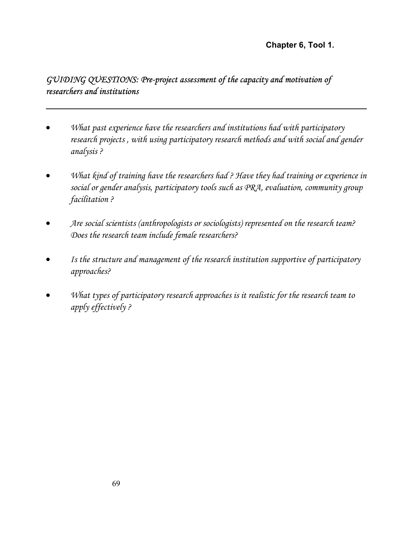**Chapter 6, Tool 1.** 

## *GUIDING QUESTIONS: Pre-project assessment of the capacity and motivation of researchers and institutions*

- *What past experience have the researchers and institutions had with participatory research projects , with using participatory research methods and with social and gender analysis ?*
- *What kind of training have the researchers had ? Have they had training or experience in social or gender analysis, participatory tools such as PRA, evaluation, community group facilitation ?*
- *Are social scientists (anthropologists or sociologists) represented on the research team? Does the research team include female researchers?*
- *Is the structure and management of the research institution supportive of participatory approaches?*
- *What types of participatory research approaches is it realistic for the research team to apply effectively ?*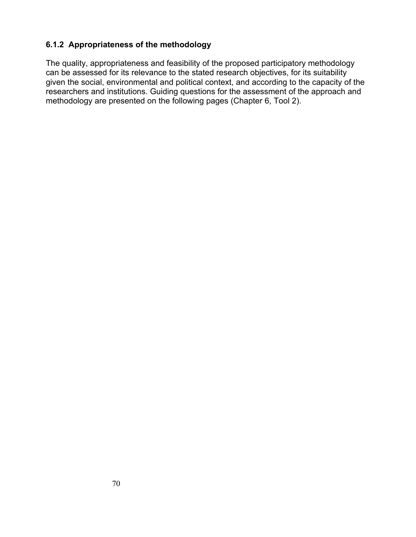#### **6.1.2 Appropriateness of the methodology**

The quality, appropriateness and feasibility of the proposed participatory methodology can be assessed for its relevance to the stated research objectives, for its suitability given the social, environmental and political context, and according to the capacity of the researchers and institutions. Guiding questions for the assessment of the approach and methodology are presented on the following pages (Chapter 6, Tool 2).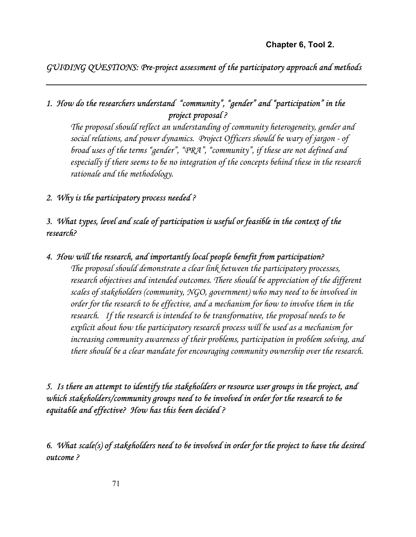*GUIDING QUESTIONS: Pre-project assessment of the participatory approach and methods*

## *1. How do the researchers understand "community", "gender" and "participation" in the project proposal ?*

*The proposal should reflect an understanding of community heterogeneity, gender and social relations, and power dynamics. Project Officers should be wary of jargon - of broad uses of the terms "gender", "PRA", "community", if these are not defined and especially if there seems to be no integration of the concepts behind these in the research rationale and the methodology.* 

#### *2. Why is the participatory process needed ?*

## *3. What types, level and scale of participation is useful or feasible in the context of the research?*

#### *4. How will the research, and importantly local people benefit from participation?*

*The proposal should demonstrate a clear link between the participatory processes,*  research objectives and intended outcomes. There should be appreciation of the different *scales of stakeholders (community, NGO, government) who may need to be involved in order for the research to be effective, and a mechanism for how to involve them in the research. If the research is intended to be transformative, the proposal needs to be explicit about how the participatory research process will be used as a mechanism for increasing community awareness of their problems, participation in problem solving, and there should be a clear mandate for encouraging community ownership over the research.* 

*5. Is there an attempt to identify the stakeholders or resource user groups in the project, and which stakeholders/community groups need to be involved in order for the research to be equitable and effective? How has this been decided ?* 

*6. What scale(s) of stakeholders need to be involved in order for the project to have the desired outcome ?* 

71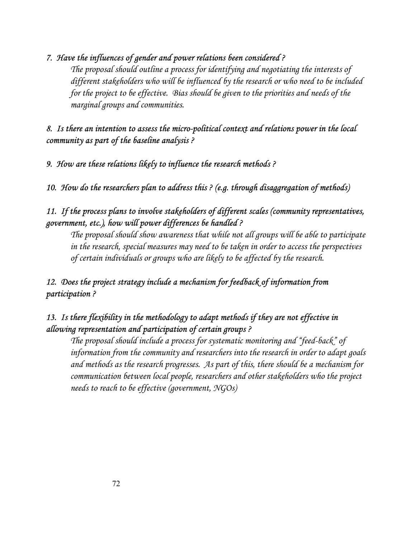## *7. Have the influences of gender and power relations been considered ?*

*The proposal should outline a process for identifying and negotiating the interests of different stakeholders who will be influenced by the research or who need to be included for the project to be effective. Bias should be given to the priorities and needs of the marginal groups and communities.* 

## *8. Is there an intention to assess the micro-political context and relations power in the local community as part of the baseline analysis ?*

*9. How are these relations likely to influence the research methods ?* 

*10. How do the researchers plan to address this ? (e.g. through disaggregation of methods)* 

## *11. If the process plans to involve stakeholders of different scales (community representatives, government, etc.), how will power differences be handled ?*

*The proposal should show awareness that while not all groups will be able to participate in the research, special measures may need to be taken in order to access the perspectives of certain individuals or groups who are likely to be affected by the research.* 

# *12. Does the project strategy include a mechanism for feedback of information from participation ?*

## *13. Is there flexibility in the methodology to adapt methods if they are not effective in allowing representation and participation of certain groups ?*

*The proposal should include a process for systematic monitoring and "feed-back" of information from the community and researchers into the research in order to adapt goals and methods as the research progresses. As part of this, there should be a mechanism for communication between local people, researchers and other stakeholders who the project needs to reach to be effective (government, NGOs)*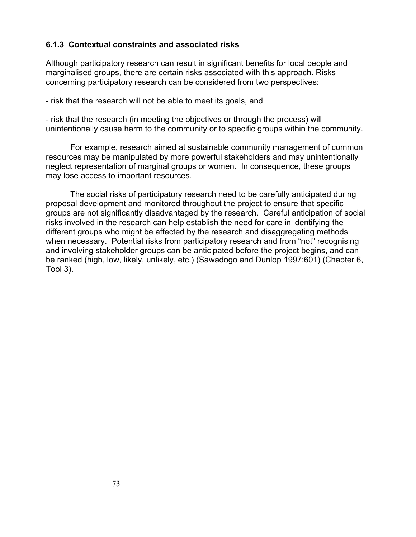#### **6.1.3 Contextual constraints and associated risks**

Although participatory research can result in significant benefits for local people and marginalised groups, there are certain risks associated with this approach. Risks concerning participatory research can be considered from two perspectives:

- risk that the research will not be able to meet its goals, and

- risk that the research (in meeting the objectives or through the process) will unintentionally cause harm to the community or to specific groups within the community.

For example, research aimed at sustainable community management of common resources may be manipulated by more powerful stakeholders and may unintentionally neglect representation of marginal groups or women. In consequence, these groups may lose access to important resources.

The social risks of participatory research need to be carefully anticipated during proposal development and monitored throughout the project to ensure that specific groups are not significantly disadvantaged by the research. Careful anticipation of social risks involved in the research can help establish the need for care in identifying the different groups who might be affected by the research and disaggregating methods when necessary. Potential risks from participatory research and from "not" recognising and involving stakeholder groups can be anticipated before the project begins, and can be ranked (high, low, likely, unlikely, etc.) (Sawadogo and Dunlop 1997:601) (Chapter 6, Tool 3).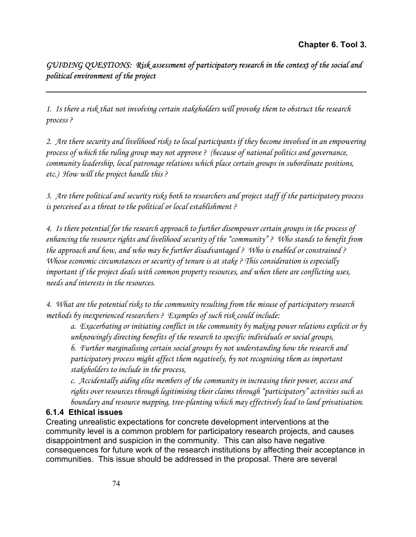## *GUIDING QUESTIONS: Risk assessment of participatory research in the context of the social and political environment of the project*

*1. Is there a risk that not involving certain stakeholders will provoke them to obstruct the research process ?* 

*2. Are there security and livelihood risks to local participants if they become involved in an empowering process of which the ruling group may not approve ? (because of national politics and governance, community leadership, local patronage relations which place certain groups in subordinate positions, etc.) How will the project handle this ?* 

*3. Are there political and security risks both to researchers and project staff if the participatory process is perceived as a threat to the political or local establishment ?* 

*4. Is there potential for the research approach to further disempower certain groups in the process of enhancing the resource rights and livelihood security of the "community" ? Who stands to benefit from the approach and how, and who may be further disadvantaged ? Who is enabled or constrained ? Whose economic circumstances or security of tenure is at stake ? This consideration is especially important if the project deals with common property resources, and when there are conflicting uses, needs and interests in the resources.* 

*4. What are the potential risks to the community resulting from the misuse of participatory research methods by inexperienced researchers ? Examples of such risk could include:* 

*a. Exacerbating or initiating conflict in the community by making power relations explicit or by unknowingly directing benefits of the research to specific individuals or social groups,* 

*b. Further marginalising certain social groups by not understanding how the research and participatory process might affect them negatively, by not recognising them as important stakeholders to include in the process,* 

*c. Accidentally aiding elite members of the community in increasing their power, access and rights over resources through legitimising their claims through "participatory" activities such as boundary and resource mapping, tree-planting which may effectively lead to land privatisation.* 

#### **6.1.4 Ethical issues**

Creating unrealistic expectations for concrete development interventions at the community level is a common problem for participatory research projects, and causes disappointment and suspicion in the community. This can also have negative consequences for future work of the research institutions by affecting their acceptance in communities. This issue should be addressed in the proposal. There are several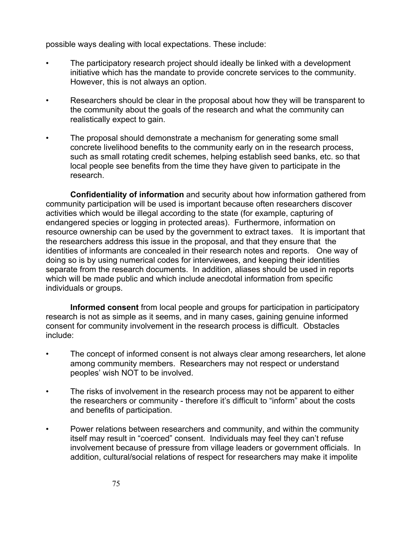possible ways dealing with local expectations. These include:

- The participatory research project should ideally be linked with a development initiative which has the mandate to provide concrete services to the community. However, this is not always an option.
- Researchers should be clear in the proposal about how they will be transparent to the community about the goals of the research and what the community can realistically expect to gain.
- The proposal should demonstrate a mechanism for generating some small concrete livelihood benefits to the community early on in the research process, such as small rotating credit schemes, helping establish seed banks, etc. so that local people see benefits from the time they have given to participate in the research.

**Confidentiality of information** and security about how information gathered from community participation will be used is important because often researchers discover activities which would be illegal according to the state (for example, capturing of endangered species or logging in protected areas). Furthermore, information on resource ownership can be used by the government to extract taxes. It is important that the researchers address this issue in the proposal, and that they ensure that the identities of informants are concealed in their research notes and reports. One way of doing so is by using numerical codes for interviewees, and keeping their identities separate from the research documents. In addition, aliases should be used in reports which will be made public and which include anecdotal information from specific individuals or groups.

**Informed consent** from local people and groups for participation in participatory research is not as simple as it seems, and in many cases, gaining genuine informed consent for community involvement in the research process is difficult. Obstacles include:

- The concept of informed consent is not always clear among researchers, let alone among community members. Researchers may not respect or understand peoples' wish NOT to be involved.
- The risks of involvement in the research process may not be apparent to either the researchers or community - therefore it's difficult to "inform" about the costs and benefits of participation.
- Power relations between researchers and community, and within the community itself may result in "coerced" consent. Individuals may feel they can't refuse involvement because of pressure from village leaders or government officials. In addition, cultural/social relations of respect for researchers may make it impolite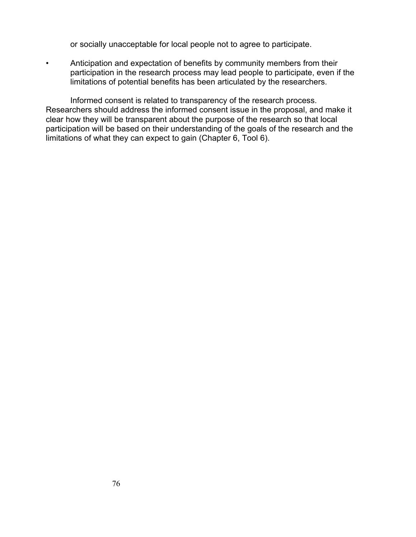or socially unacceptable for local people not to agree to participate.

• Anticipation and expectation of benefits by community members from their participation in the research process may lead people to participate, even if the limitations of potential benefits has been articulated by the researchers.

Informed consent is related to transparency of the research process. Researchers should address the informed consent issue in the proposal, and make it clear how they will be transparent about the purpose of the research so that local participation will be based on their understanding of the goals of the research and the limitations of what they can expect to gain (Chapter 6, Tool 6).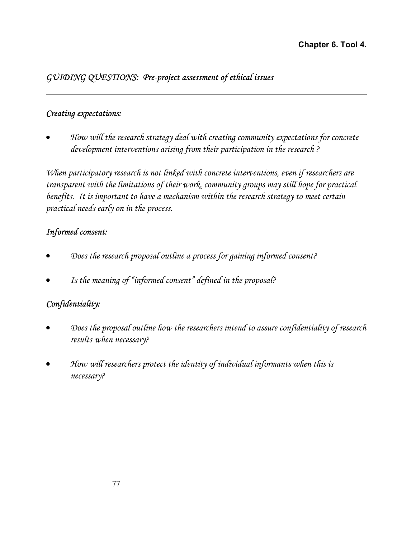## *GUIDING QUESTIONS: Pre-project assessment of ethical issues*

## *Creating expectations:*

• *How will the research strategy deal with creating community expectations for concrete development interventions arising from their participation in the research ?* 

*When participatory research is not linked with concrete interventions, even if researchers are transparent with the limitations of their work, community groups may still hope for practical benefits. It is important to have a mechanism within the research strategy to meet certain practical needs early on in the process.* 

## *Informed consent:*

- *Does the research proposal outline a process for gaining informed consent?*
- *Is the meaning of "informed consent" defined in the proposal?*

## *Confidentiality:*

- *Does the proposal outline how the researchers intend to assure confidentiality of research results when necessary?*
- *How will researchers protect the identity of individual informants when this is necessary?*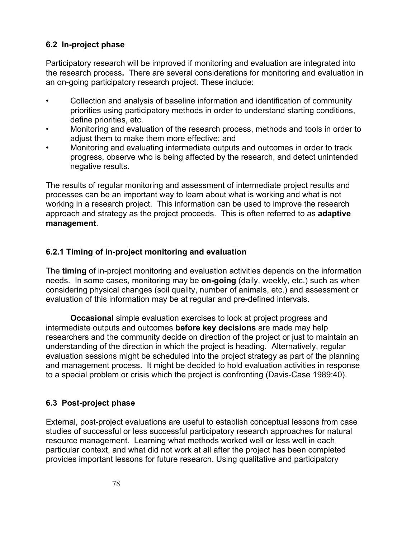## **6.2 In-project phase**

Participatory research will be improved if monitoring and evaluation are integrated into the research process**.** There are several considerations for monitoring and evaluation in an on-going participatory research project. These include:

- Collection and analysis of baseline information and identification of community priorities using participatory methods in order to understand starting conditions, define priorities, etc.
- Monitoring and evaluation of the research process, methods and tools in order to adjust them to make them more effective; and
- Monitoring and evaluating intermediate outputs and outcomes in order to track progress, observe who is being affected by the research, and detect unintended negative results.

The results of regular monitoring and assessment of intermediate project results and processes can be an important way to learn about what is working and what is not working in a research project. This information can be used to improve the research approach and strategy as the project proceeds. This is often referred to as **adaptive management**.

## **6.2.1 Timing of in-project monitoring and evaluation**

The **timing** of in-project monitoring and evaluation activities depends on the information needs.In some cases, monitoring may be **on-going** (daily, weekly, etc.) such as when considering physical changes (soil quality, number of animals, etc.) and assessment or evaluation of this information may be at regular and pre-defined intervals.

**Occasional** simple evaluation exercises to look at project progress and intermediate outputs and outcomes **before key decisions** are made may help researchers and the community decide on direction of the project or just to maintain an understanding of the direction in which the project is heading. Alternatively, regular evaluation sessions might be scheduled into the project strategy as part of the planning and management process. It might be decided to hold evaluation activities in response to a special problem or crisis which the project is confronting (Davis-Case 1989:40).

## **6.3 Post-project phase**

External, post-project evaluations are useful to establish conceptual lessons from case studies of successful or less successful participatory research approaches for natural resource management. Learning what methods worked well or less well in each particular context, and what did not work at all after the project has been completed provides important lessons for future research. Using qualitative and participatory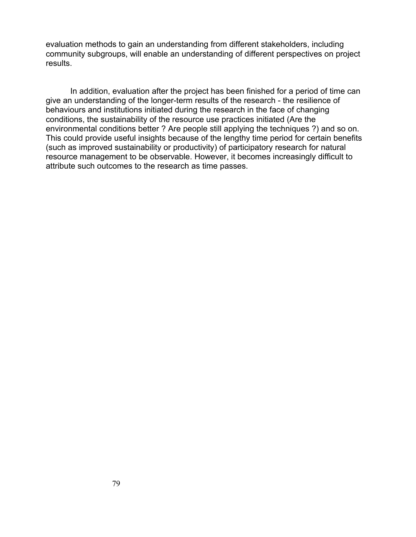evaluation methods to gain an understanding from different stakeholders, including community subgroups, will enable an understanding of different perspectives on project results.

In addition, evaluation after the project has been finished for a period of time can give an understanding of the longer-term results of the research - the resilience of behaviours and institutions initiated during the research in the face of changing conditions, the sustainability of the resource use practices initiated (Are the environmental conditions better ? Are people still applying the techniques ?) and so on. This could provide useful insights because of the lengthy time period for certain benefits (such as improved sustainability or productivity) of participatory research for natural resource management to be observable. However, it becomes increasingly difficult to attribute such outcomes to the research as time passes.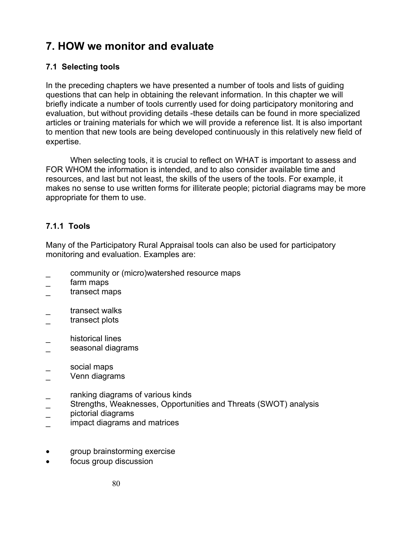# **7. HOW we monitor and evaluate**

## **7.1 Selecting tools**

In the preceding chapters we have presented a number of tools and lists of guiding questions that can help in obtaining the relevant information. In this chapter we will briefly indicate a number of tools currently used for doing participatory monitoring and evaluation, but without providing details -these details can be found in more specialized articles or training materials for which we will provide a reference list. It is also important to mention that new tools are being developed continuously in this relatively new field of expertise.

When selecting tools, it is crucial to reflect on WHAT is important to assess and FOR WHOM the information is intended, and to also consider available time and resources, and last but not least, the skills of the users of the tools. For example, it makes no sense to use written forms for illiterate people; pictorial diagrams may be more appropriate for them to use.

## **7.1.1 Tools**

Many of the Participatory Rural Appraisal tools can also be used for participatory monitoring and evaluation. Examples are:

- \_ community or (micro)watershed resource maps
- farm maps
- transect maps
- transect walks
- transect plots
- historical lines
- seasonal diagrams
- \_ social maps
- Venn diagrams
- ranking diagrams of various kinds
- Strengths, Weaknesses, Opportunities and Threats (SWOT) analysis
- \_ pictorial diagrams
- impact diagrams and matrices
- group brainstorming exercise
- focus group discussion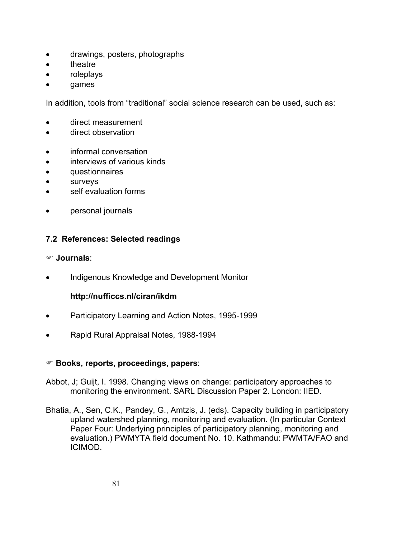- drawings, posters, photographs
- **theatre**
- roleplays
- games

In addition, tools from "traditional" social science research can be used, such as:

- direct measurement
- direct observation
- informal conversation
- interviews of various kinds
- questionnaires
- surveys
- self evaluation forms
- personal journals

#### **7.2 References: Selected readings**

#### ) **Journals**:

• Indigenous Knowledge and Development Monitor

#### **http://nufficcs.nl/ciran/ikdm**

- Participatory Learning and Action Notes, 1995-1999
- Rapid Rural Appraisal Notes, 1988-1994

#### ) **Books, reports, proceedings, papers**:

- Abbot, J; Guijt, I. 1998. Changing views on change: participatory approaches to monitoring the environment. SARL Discussion Paper 2. London: IIED.
- Bhatia, A., Sen, C.K., Pandey, G., Amtzis, J. (eds). Capacity building in participatory upland watershed planning, monitoring and evaluation. (In particular Context Paper Four: Underlying principles of participatory planning, monitoring and evaluation.) PWMYTA field document No. 10. Kathmandu: PWMTA/FAO and ICIMOD.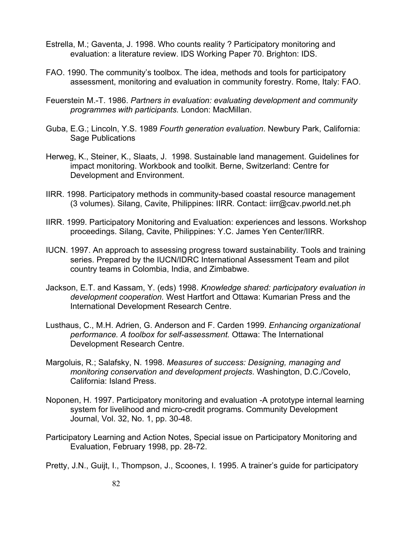- Estrella, M.; Gaventa, J. 1998. Who counts reality ? Participatory monitoring and evaluation: a literature review. IDS Working Paper 70. Brighton: IDS.
- FAO. 1990. The community's toolbox. The idea, methods and tools for participatory assessment, monitoring and evaluation in community forestry. Rome, Italy: FAO.
- Feuerstein M.-T. 1986. *Partners in evaluation: evaluating development and community programmes with participants.* London: MacMillan.
- Guba, E.G.; Lincoln, Y.S. 1989 *Fourth generation evaluation*. Newbury Park, California: Sage Publications
- Herweg, K., Steiner, K., Slaats, J. 1998. Sustainable land management. Guidelines for impact monitoring. Workbook and toolkit. Berne, Switzerland: Centre for Development and Environment.
- IIRR. 1998. Participatory methods in community-based coastal resource management (3 volumes). Silang, Cavite, Philippines: IIRR. Contact: iirr@cav.pworld.net.ph
- IIRR. 1999. Participatory Monitoring and Evaluation: experiences and lessons. Workshop proceedings. Silang, Cavite, Philippines: Y.C. James Yen Center/IIRR.
- IUCN. 1997. An approach to assessing progress toward sustainability. Tools and training series. Prepared by the IUCN/IDRC International Assessment Team and pilot country teams in Colombia, India, and Zimbabwe.
- Jackson, E.T. and Kassam, Y. (eds) 1998. *Knowledge shared: participatory evaluation in development cooperation.* West Hartfort and Ottawa: Kumarian Press and the International Development Research Centre.
- Lusthaus, C., M.H. Adrien, G. Anderson and F. Carden 1999. *Enhancing organizational performance. A toolbox for self-assessment.* Ottawa: The International Development Research Centre.
- Margoluis, R.; Salafsky, N. 1998. *Measures of success: Designing, managing and monitoring conservation and development projects*. Washington, D.C./Covelo, California: Island Press.
- Noponen, H. 1997. Participatory monitoring and evaluation -A prototype internal learning system for livelihood and micro-credit programs. Community Development Journal, Vol. 32, No. 1, pp. 30-48.
- Participatory Learning and Action Notes, Special issue on Participatory Monitoring and Evaluation, February 1998, pp. 28-72.
- Pretty, J.N., Guijt, I., Thompson, J., Scoones, I. 1995. A trainer's guide for participatory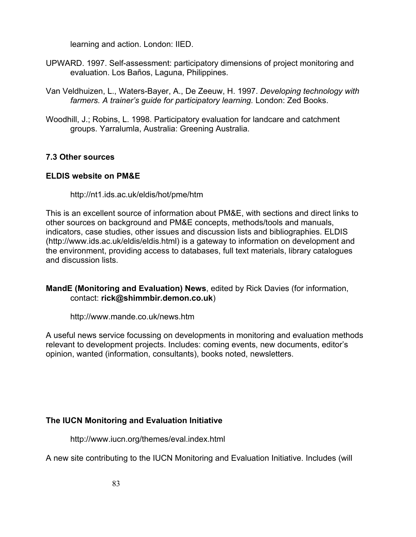learning and action. London: IIED.

- UPWARD. 1997. Self-assessment: participatory dimensions of project monitoring and evaluation. Los Baños, Laguna, Philippines.
- Van Veldhuizen, L., Waters-Bayer, A., De Zeeuw, H. 1997. *Developing technology with farmers. A trainer's guide for participatory learning.* London: Zed Books.
- Woodhill, J.; Robins, L. 1998. Participatory evaluation for landcare and catchment groups. Yarralumla, Australia: Greening Australia.

#### **7.3 Other sources**

#### **ELDIS website on PM&E**

http://nt1.ids.ac.uk/eldis/hot/pme/htm

This is an excellent source of information about PM&E, with sections and direct links to other sources on background and PM&E concepts, methods/tools and manuals, indicators, case studies, other issues and discussion lists and bibliographies. ELDIS (http://www.ids.ac.uk/eldis/eldis.html) is a gateway to information on development and the environment, providing access to databases, full text materials, library catalogues and discussion lists.

#### **MandE (Monitoring and Evaluation) News**, edited by Rick Davies (for information, contact: **rick@shimmbir.demon.co.uk**)

http://www.mande.co.uk/news.htm

A useful news service focussing on developments in monitoring and evaluation methods relevant to development projects. Includes: coming events, new documents, editor's opinion, wanted (information, consultants), books noted, newsletters.

#### **The IUCN Monitoring and Evaluation Initiative**

http://www.iucn.org/themes/eval.index.html

A new site contributing to the IUCN Monitoring and Evaluation Initiative. Includes (will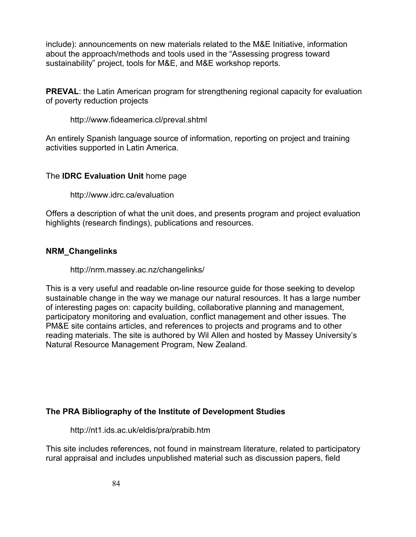include): announcements on new materials related to the M&E Initiative, information about the approach/methods and tools used in the "Assessing progress toward sustainability" project, tools for M&E, and M&E workshop reports.

**PREVAL**: the Latin American program for strengthening regional capacity for evaluation of poverty reduction projects

http://www.fideamerica.cl/preval.shtml

An entirely Spanish language source of information, reporting on project and training activities supported in Latin America.

#### The **IDRC Evaluation Unit** home page

http://www.idrc.ca/evaluation

Offers a description of what the unit does, and presents program and project evaluation highlights (research findings), publications and resources.

#### **NRM\_Changelinks**

http://nrm.massey.ac.nz/changelinks/

This is a very useful and readable on-line resource guide for those seeking to develop sustainable change in the way we manage our natural resources. It has a large number of interesting pages on: capacity building, collaborative planning and management, participatory monitoring and evaluation, conflict management and other issues. The PM&E site contains articles, and references to projects and programs and to other reading materials. The site is authored by Wil Allen and hosted by Massey University's Natural Resource Management Program, New Zealand.

#### **The PRA Bibliography of the Institute of Development Studies**

http://nt1.ids.ac.uk/eldis/pra/prabib.htm

This site includes references, not found in mainstream literature, related to participatory rural appraisal and includes unpublished material such as discussion papers, field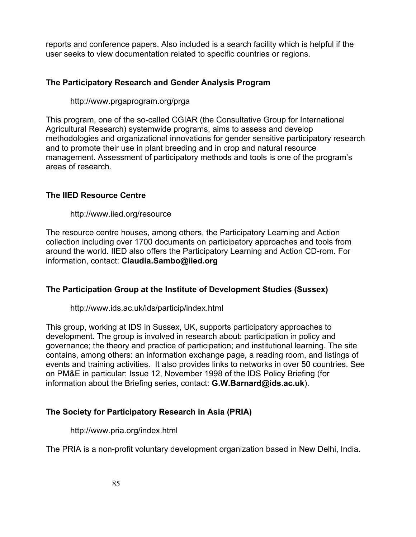reports and conference papers. Also included is a search facility which is helpful if the user seeks to view documentation related to specific countries or regions.

#### **The Participatory Research and Gender Analysis Program**

http://www.prgaprogram.org/prga

This program, one of the so-called CGIAR (the Consultative Group for International Agricultural Research) systemwide programs, aims to assess and develop methodologies and organizational innovations for gender sensitive participatory research and to promote their use in plant breeding and in crop and natural resource management. Assessment of participatory methods and tools is one of the program's areas of research.

#### **The IIED Resource Centre**

http://www.iied.org/resource

The resource centre houses, among others, the Participatory Learning and Action collection including over 1700 documents on participatory approaches and tools from around the world. IIED also offers the Participatory Learning and Action CD-rom. For information, contact: **Claudia.Sambo@iied.org**

#### **The Participation Group at the Institute of Development Studies (Sussex)**

http://www.ids.ac.uk/ids/particip/index.html

This group, working at IDS in Sussex, UK, supports participatory approaches to development. The group is involved in research about: participation in policy and governance; the theory and practice of participation; and institutional learning. The site contains, among others: an information exchange page, a reading room, and listings of events and training activities. It also provides links to networks in over 50 countries. See on PM&E in particular: Issue 12, November 1998 of the IDS Policy Briefing (for information about the Briefing series, contact: **G.W.Barnard@ids.ac.uk**).

#### **The Society for Participatory Research in Asia (PRIA)**

http://www.pria.org/index.html

The PRIA is a non-profit voluntary development organization based in New Delhi, India.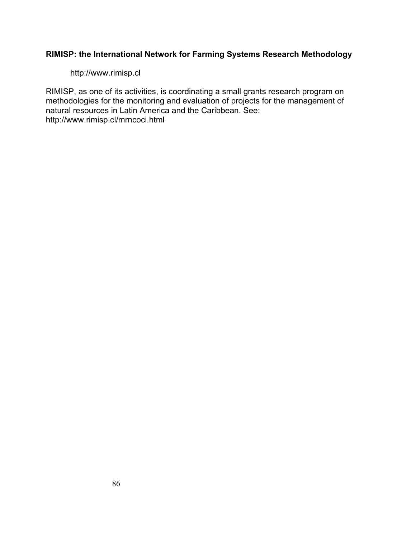#### **RIMISP: the International Network for Farming Systems Research Methodology**

http://www.rimisp.cl

RIMISP, as one of its activities, is coordinating a small grants research program on methodologies for the monitoring and evaluation of projects for the management of natural resources in Latin America and the Caribbean. See: http://www.rimisp.cl/mrncoci.html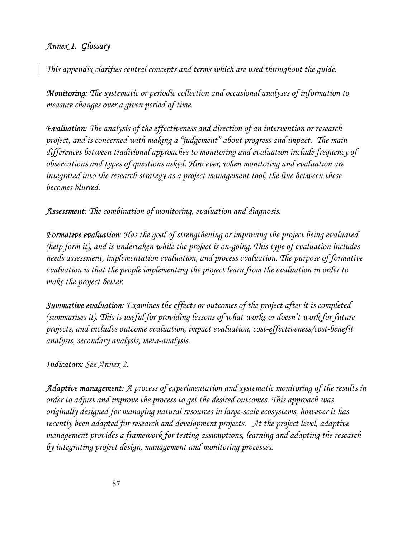## *Annex 1. Glossary*

*This appendix clarifies central concepts and terms which are used throughout the guide.* 

*Monitoring: The systematic or periodic collection and occasional analyses of information to measure changes over a given period of time.* 

*Evaluation: The analysis of the effectiveness and direction of an intervention or research project, and is concerned with making a "judgement" about progress and impact. The main differences between traditional approaches to monitoring and evaluation include frequency of observations and types of questions asked. However, when monitoring and evaluation are integrated into the research strategy as a project management tool, the line between these becomes blurred.* 

*Assessment: The combination of monitoring, evaluation and diagnosis.* 

*Formative evaluation: Has the goal of strengthening or improving the project being evaluated (help form it), and is undertaken while the project is on-going. This type of evaluation includes needs assessment, implementation evaluation, and process evaluation. The purpose of formative evaluation is that the people implementing the project learn from the evaluation in order to make the project better.* 

*Summative evaluation: Examines the effects or outcomes of the project after it is completed (summarises it). This is useful for providing lessons of what works or doesn't work for future projects, and includes outcome evaluation, impact evaluation, cost-effectiveness/cost-benefit analysis, secondary analysis, meta-analysis.* 

#### *Indicators: See Annex 2.*

*Adaptive management: A process of experimentation and systematic monitoring of the results in order to adjust and improve the process to get the desired outcomes. This approach was originally designed for managing natural resources in large-scale ecosystems, however it has recently been adapted for research and development projects. At the project level, adaptive management provides a framework for testing assumptions, learning and adapting the research by integrating project design, management and monitoring processes.*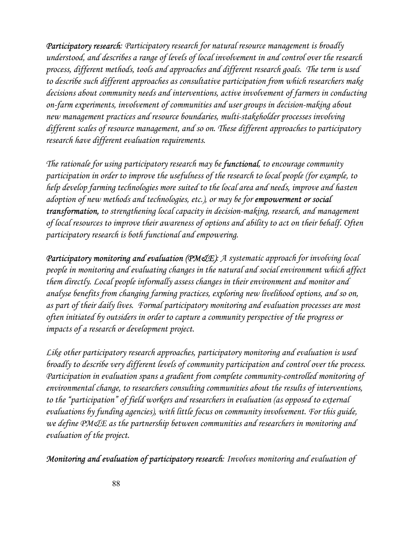*Participatory research: Participatory research for natural resource management is broadly understood, and describes a range of levels of local involvement in and control over the research process, different methods, tools and approaches and different research goals. The term is used to describe such different approaches as consultative participation from which researchers make decisions about community needs and interventions, active involvement of farmers in conducting on-farm experiments, involvement of communities and user groups in decision-making about new management practices and resource boundaries, multi-stakeholder processes involving different scales of resource management, and so on. These different approaches to participatory research have different evaluation requirements.* 

*The rationale for using participatory research may be functional, to encourage community participation in order to improve the usefulness of the research to local people (for example, to help develop farming technologies more suited to the local area and needs, improve and hasten adoption of new methods and technologies, etc.), or may be for empowerment or social transformation, to strengthening local capacity in decision-making, research, and management of local resources to improve their awareness of options and ability to act on their behalf. Often participatory research is both functional and empowering.* 

*Participatory monitoring and evaluation (PM&E): A systematic approach for involving local people in monitoring and evaluating changes in the natural and social environment which affect them directly. Local people informally assess changes in their environment and monitor and analyse benefits from changing farming practices, exploring new livelihood options, and so on, as part of their daily lives. Formal participatory monitoring and evaluation processes are most often initiated by outsiders in order to capture a community perspective of the progress or impacts of a research or development project.* 

*Like other participatory research approaches, participatory monitoring and evaluation is used broadly to describe very different levels of community participation and control over the process. Participation in evaluation spans a gradient from complete community-controlled monitoring of environmental change, to researchers consulting communities about the results of interventions, to the "participation" of field workers and researchers in evaluation (as opposed to external evaluations by funding agencies), with little focus on community involvement. For this guide, we define PM&E as the partnership between communities and researchers in monitoring and evaluation of the project.* 

*Monitoring and evaluation of participatory research: Involves monitoring and evaluation of*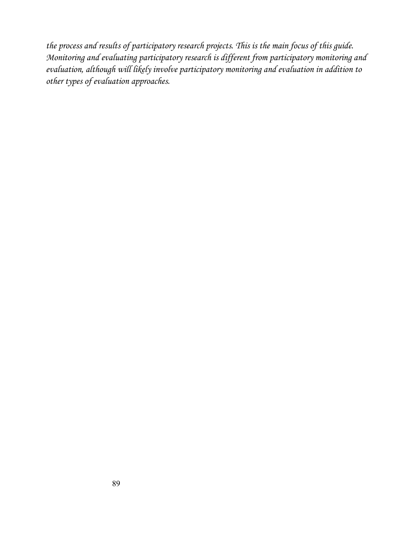*the process and results of participatory research projects. This is the main focus of this guide. Monitoring and evaluating participatory research is different from participatory monitoring and evaluation, although will likely involve participatory monitoring and evaluation in addition to other types of evaluation approaches.*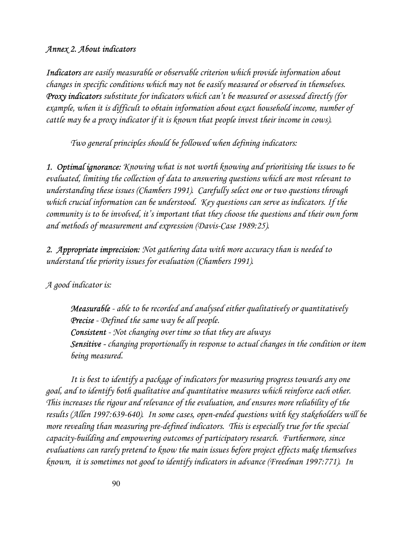## *Annex 2. About indicators*

*Indicators are easily measurable or observable criterion which provide information about changes in specific conditions which may not be easily measured or observed in themselves. Proxy indicators substitute for indicators which can't be measured or assessed directly (for example, when it is difficult to obtain information about exact household income, number of cattle may be a proxy indicator if it is known that people invest their income in cows).* 

*Two general principles should be followed when defining indicators:* 

*1. Optimal ignorance: Knowing what is not worth knowing and prioritising the issues to be evaluated, limiting the collection of data to answering questions which are most relevant to understanding these issues (Chambers 1991). Carefully select one or two questions through which crucial information can be understood. Key questions can serve as indicators. If the community is to be involved, it's important that they choose the questions and their own form and methods of measurement and expression (Davis-Case 1989:25).* 

*2. Appropriate imprecision: Not gathering data with more accuracy than is needed to understand the priority issues for evaluation (Chambers 1991).* 

*A good indicator is:* 

*Measurable - able to be recorded and analysed either qualitatively or quantitatively Precise - Defined the same way be all people. Consistent - Not changing over time so that they are always Sensitive - changing proportionally in response to actual changes in the condition or item being measured.* 

*It is best to identify a package of indicators for measuring progress towards any one goal, and to identify both qualitative and quantitative measures which reinforce each other. This increases the rigour and relevance of the evaluation, and ensures more reliability of the results (Allen 1997:639-640). In some cases, open-ended questions with key stakeholders will be more revealing than measuring pre-defined indicators. This is especially true for the special capacity-building and empowering outcomes of participatory research. Furthermore, since evaluations can rarely pretend to know the main issues before project effects make themselves known, it is sometimes not good to identify indicators in advance (Freedman 1997:771). In*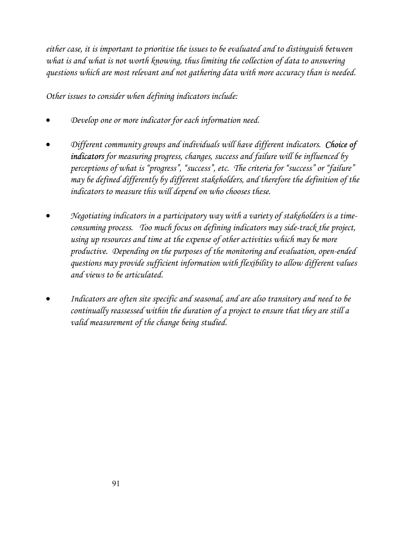*either case, it is important to prioritise the issues to be evaluated and to distinguish between what is and what is not worth knowing, thus limiting the collection of data to answering questions which are most relevant and not gathering data with more accuracy than is needed.* 

*Other issues to consider when defining indicators include:* 

- *Develop one or more indicator for each information need.*
- *Different community groups and individuals will have different indicators. Choice of indicators for measuring progress, changes, success and failure will be influenced by perceptions of what is "progress", "success", etc. The criteria for "success" or "failure" may be defined differently by different stakeholders, and therefore the definition of the indicators to measure this will depend on who chooses these.*
- *Negotiating indicators in a participatory way with a variety of stakeholders is a timeconsuming process. Too much focus on defining indicators may side-track the project,*  using up resources and time at the expense of other activities which may be more *productive. Depending on the purposes of the monitoring and evaluation, open-ended questions may provide sufficient information with flexibility to allow different values and views to be articulated.*
- *Indicators are often site specific and seasonal, and are also transitory and need to be continually reassessed within the duration of a project to ensure that they are still a valid measurement of the change being studied.*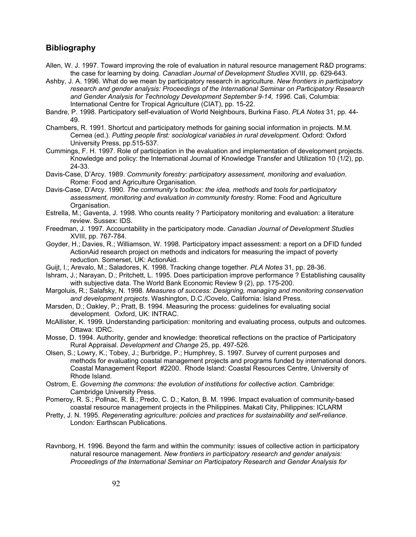#### **Bibliography**

- Allen, W. J. 1997. Toward improving the role of evaluation in natural resource management R&D programs: the case for learning by doing. *Canadian Journal of Development Studies* XVIII, pp. 629-643.
- Ashby, J. A. 1996. What do we mean by participatory research in agriculture. *New frontiers in participatory research and gender analysis: Proceedings of the International Seminar on Participatory Research and Gender Analysis for Technology Development September 9-14, 1996*. Cali, Columbia: International Centre for Tropical Agriculture (CIAT), pp. 15-22.
- Bandre, P. 1998. Participatory self-evaluation of World Neighbours, Burkina Faso. *PLA Notes* 31, pp. 44- 49.
- Chambers, R. 1991. Shortcut and participatory methods for gaining social information in projects. M.M. Cernea (ed.). *Putting people first: sociological variables in rural development*. Oxford: Oxford University Press, pp.515-537.
- Cummings, F. H. 1997. Role of participation in the evaluation and implementation of development projects. Knowledge and policy: the International Journal of Knowledge Transfer and Utilization 10 (1/2), pp. 24-33.
- Davis-Case, D'Arcy. 1989. *Community forestry: participatory assessment, monitoring and evaluation*. Rome: Food and Agriculture Organisation.
- Davis-Case, D'Arcy. 1990. *The community's toolbox: the idea, methods and tools for participatory assessment, monitoring and evaluation in community forestry*. Rome: Food and Agriculture Organisation.
- Estrella, M.; Gaventa, J. 1998. Who counts reality ? Participatory monitoring and evaluation: a literature review. Sussex: IDS.
- Freedman, J. 1997. Accountability in the participatory mode. *Canadian Journal of Development Studies* XVIII, pp. 767-784.
- Goyder, H.; Davies, R.; Williamson, W. 1998. Participatory impact assessment: a report on a DFID funded ActionAid research project on methods and indicators for measuring the impact of poverty reduction. Somerset, UK: ActionAid.
- Guijt, I.; Arevalo, M.; Saladores, K. 1998. Tracking change together. *PLA Notes* 31, pp. 28-36.
- Ishram, J.; Narayan, D.; Pritchett, L. 1995. Does participation improve performance ? Establishing causality with subjective data. The World Bank Economic Review 9 (2), pp. 175-200.
- Margoluis, R.; Salafsky, N. 1998. *Measures of success: Designing, managing and monitoring conservation and development projects*. Washington, D.C./Covelo, California: Island Press.
- Marsden, D.; Oakley, P.; Pratt, B. 1994. Measuring the process: guidelines for evaluating social development. Oxford, UK: INTRAC.
- McAllister, K. 1999. Understanding participation: monitoring and evaluating process, outputs and outcomes. Ottawa: IDRC.
- Mosse, D. 1994. Authority, gender and knowledge: theoretical reflections on the practice of Participatory Rural Appraisal. *Development and Change* 25, pp. 497-526.
- Olsen, S.; Lowry, K.; Tobey, J.; Burbridge, P.; Humphrey, S. 1997. Survey of current purposes and methods for evaluating coastal management projects and programs funded by international donors. Coastal Management Report #2200. Rhode Island: Coastal Resources Centre, University of Rhode Island.
- Ostrom, E. *Governing the commons: the evolution of institutions for collective action*. Cambridge: Cambridge University Press.
- Pomeroy, R. S.; Pollnac, R. B.; Predo, C. D.; Katon, B. M. 1996. Impact evaluation of community-based coastal resource management projects in the Philippines. Makati City, Philippines: ICLARM
- Pretty, J. N. 1995. *Regenerating agriculture: policies and practices for sustainability and self-reliance*. London: Earthscan Publications.
- Ravnborg, H. 1996. Beyond the farm and within the community: issues of collective action in participatory natural resource management. *New frontiers in participatory research and gender analysis: Proceedings of the International Seminar on Participatory Research and Gender Analysis for*